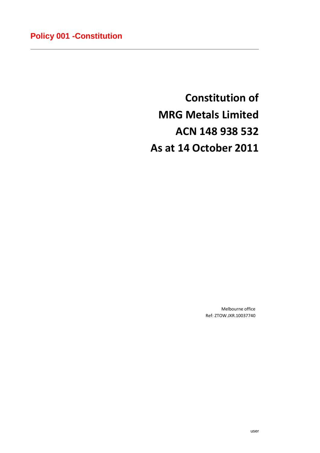# **Policy 001 -Constitution**

**Constitution of MRG Metals Limited ACN 148 938 532 As at 14 October 2011**

> Melbourne office Ref: ZTOW.JXR.10037740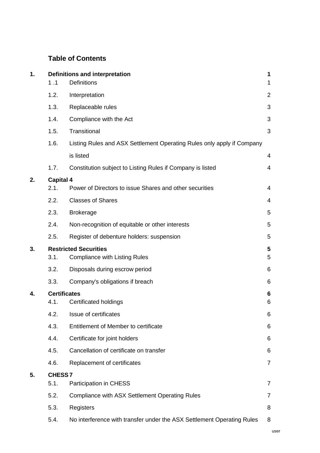# **Table of Contents**

| 1. | 1.1              | <b>Definitions and interpretation</b><br><b>Definitions</b>            | 1<br>1          |
|----|------------------|------------------------------------------------------------------------|-----------------|
|    | 1.2.             | Interpretation                                                         | $\overline{2}$  |
|    | 1.3.             | Replaceable rules                                                      | 3               |
|    | 1.4.             | Compliance with the Act                                                | 3               |
|    | 1.5.             | Transitional                                                           | 3               |
|    | 1.6.             | Listing Rules and ASX Settlement Operating Rules only apply if Company |                 |
|    |                  | is listed                                                              | 4               |
|    | 1.7.             | Constitution subject to Listing Rules if Company is listed             | 4               |
| 2. | <b>Capital 4</b> |                                                                        |                 |
|    | 2.1.             | Power of Directors to issue Shares and other securities                | 4               |
|    | 2.2.             | <b>Classes of Shares</b>                                               | 4               |
|    | 2.3.             | <b>Brokerage</b>                                                       | 5               |
|    | 2.4.             | Non-recognition of equitable or other interests                        | 5               |
|    | 2.5.             | Register of debenture holders: suspension                              | 5               |
| 3. | 3.1.             | <b>Restricted Securities</b><br><b>Compliance with Listing Rules</b>   | 5<br>5          |
|    | 3.2.             | Disposals during escrow period                                         | $6\phantom{1}6$ |
|    | 3.3.             | Company's obligations if breach                                        | 6               |
| 4. | 4.1.             | <b>Certificates</b><br><b>Certificated holdings</b>                    | 6<br>6          |
|    | 4.2.             | Issue of certificates                                                  | 6               |
|    | 4.3.             | Entitlement of Member to certificate                                   | 6               |
|    | 4.4.             | Certificate for joint holders                                          | 6               |
|    | 4.5.             | Cancellation of certificate on transfer                                | 6               |
|    | 4.6.             | Replacement of certificates                                            | $\overline{7}$  |
| 5. | CHESS7<br>5.1.   | Participation in CHESS                                                 | $\overline{7}$  |
|    | 5.2.             | <b>Compliance with ASX Settlement Operating Rules</b>                  | $\overline{7}$  |
|    | 5.3.             | Registers                                                              | 8               |
|    | 5.4.             | No interference with transfer under the ASX Settlement Operating Rules | 8               |
|    |                  |                                                                        |                 |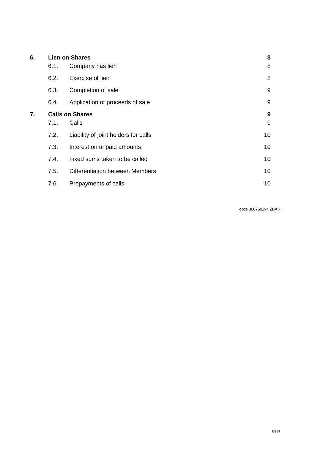| 6. |                        | <b>Lien on Shares</b>                  | 8  |
|----|------------------------|----------------------------------------|----|
|    | 6.1.                   | Company has lien                       | 8  |
|    | 6.2.                   | Exercise of lien                       | 8  |
|    | 6.3.                   | Completion of sale                     | 9  |
|    | 6.4.                   | Application of proceeds of sale        | 9  |
| 7. | <b>Calls on Shares</b> |                                        | 9  |
|    | 7.1.                   | Calls                                  | 9  |
|    | 7.2.                   | Liability of joint holders for calls   | 10 |
|    | 7.3.                   | Interest on unpaid amounts             | 10 |
|    | 7.4.                   | Fixed sums taken to be called          | 10 |
|    | 7.5.                   | <b>Differentiation between Members</b> | 10 |
|    | 7.6.                   | Prepayments of calls                   | 10 |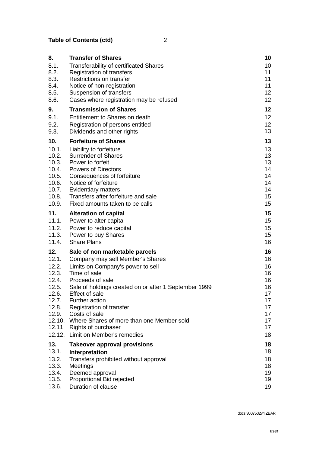| <b>Table of Contents (ctd)</b> |  |  |
|--------------------------------|--|--|
|--------------------------------|--|--|

| 8.                                                                                   | <b>Transfer of Shares</b>                                                                                                                                                                                                                                                                                                                                                                                                 | 10                                                                         |
|--------------------------------------------------------------------------------------|---------------------------------------------------------------------------------------------------------------------------------------------------------------------------------------------------------------------------------------------------------------------------------------------------------------------------------------------------------------------------------------------------------------------------|----------------------------------------------------------------------------|
| 8.1.                                                                                 | <b>Transferability of certificated Shares</b>                                                                                                                                                                                                                                                                                                                                                                             | 10                                                                         |
| 8.2.                                                                                 | <b>Registration of transfers</b>                                                                                                                                                                                                                                                                                                                                                                                          | 11                                                                         |
| 8.3.                                                                                 | Restrictions on transfer                                                                                                                                                                                                                                                                                                                                                                                                  | 11                                                                         |
| 8.4.                                                                                 | Notice of non-registration                                                                                                                                                                                                                                                                                                                                                                                                | 11                                                                         |
| 8.5.                                                                                 | Suspension of transfers                                                                                                                                                                                                                                                                                                                                                                                                   | 12                                                                         |
| 8.6.                                                                                 | Cases where registration may be refused                                                                                                                                                                                                                                                                                                                                                                                   | 12                                                                         |
| 9.                                                                                   | <b>Transmission of Shares</b>                                                                                                                                                                                                                                                                                                                                                                                             | 12                                                                         |
| 9.1.                                                                                 | Entitlement to Shares on death                                                                                                                                                                                                                                                                                                                                                                                            | 12                                                                         |
| 9.2.                                                                                 | Registration of persons entitled                                                                                                                                                                                                                                                                                                                                                                                          | 12                                                                         |
| 9.3.                                                                                 | Dividends and other rights                                                                                                                                                                                                                                                                                                                                                                                                | 13                                                                         |
| 10.                                                                                  | <b>Forfeiture of Shares</b>                                                                                                                                                                                                                                                                                                                                                                                               | 13                                                                         |
| 10.1.                                                                                | Liability to forfeiture                                                                                                                                                                                                                                                                                                                                                                                                   | 13                                                                         |
| 10.2.                                                                                | <b>Surrender of Shares</b>                                                                                                                                                                                                                                                                                                                                                                                                | 13                                                                         |
| 10.3.                                                                                | Power to forfeit                                                                                                                                                                                                                                                                                                                                                                                                          | 13                                                                         |
| 10.4.                                                                                | <b>Powers of Directors</b>                                                                                                                                                                                                                                                                                                                                                                                                | 14                                                                         |
| 10.5.                                                                                | Consequences of forfeiture                                                                                                                                                                                                                                                                                                                                                                                                | 14                                                                         |
| 10.6.                                                                                | Notice of forfeiture                                                                                                                                                                                                                                                                                                                                                                                                      | 14                                                                         |
| 10.7.                                                                                | <b>Evidentiary matters</b>                                                                                                                                                                                                                                                                                                                                                                                                | 14                                                                         |
| 10.8.                                                                                | Transfers after forfeiture and sale                                                                                                                                                                                                                                                                                                                                                                                       | 15                                                                         |
| 10.9.                                                                                | Fixed amounts taken to be calls                                                                                                                                                                                                                                                                                                                                                                                           | 15                                                                         |
| 11.                                                                                  | <b>Alteration of capital</b>                                                                                                                                                                                                                                                                                                                                                                                              | 15                                                                         |
| 11.1.                                                                                | Power to alter capital                                                                                                                                                                                                                                                                                                                                                                                                    | 15                                                                         |
| 11.2.                                                                                | Power to reduce capital                                                                                                                                                                                                                                                                                                                                                                                                   | 15                                                                         |
| 11.3.                                                                                | Power to buy Shares                                                                                                                                                                                                                                                                                                                                                                                                       | 15                                                                         |
| 11.4.                                                                                | <b>Share Plans</b>                                                                                                                                                                                                                                                                                                                                                                                                        | 16                                                                         |
| 12.<br>12.1.<br>12.2.<br>12.3.<br>12.4.<br>12.5.<br>12.6.<br>12.7.<br>12.8.<br>12.9. | Sale of non marketable parcels<br>Company may sell Member's Shares<br>Limits on Company's power to sell<br>Time of sale<br>Proceeds of sale<br>Sale of holdings created on or after 1 September 1999<br>Effect of sale<br><b>Further action</b><br><b>Registration of transfer</b><br>Costs of sale<br>12.10. Where Shares of more than one Member sold<br>12.11 Rights of purchaser<br>12.12. Limit on Member's remedies | 16<br>16<br>16<br>16<br>16<br>16<br>17<br>17<br>17<br>17<br>17<br>17<br>18 |
| 13.                                                                                  | <b>Takeover approval provisions</b>                                                                                                                                                                                                                                                                                                                                                                                       | 18                                                                         |
| 13.1.                                                                                | Interpretation                                                                                                                                                                                                                                                                                                                                                                                                            | 18                                                                         |
| 13.2.                                                                                | Transfers prohibited without approval                                                                                                                                                                                                                                                                                                                                                                                     | 18                                                                         |
| 13.3.                                                                                | Meetings                                                                                                                                                                                                                                                                                                                                                                                                                  | 18                                                                         |
| 13.4.                                                                                | Deemed approval                                                                                                                                                                                                                                                                                                                                                                                                           | 19                                                                         |
| 13.5.                                                                                | Proportional Bid rejected                                                                                                                                                                                                                                                                                                                                                                                                 | 19                                                                         |
| 13.6.                                                                                | Duration of clause                                                                                                                                                                                                                                                                                                                                                                                                        | 19                                                                         |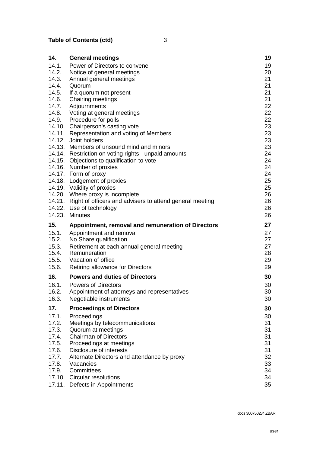| 14.            | <b>General meetings</b>                                         | 19       |
|----------------|-----------------------------------------------------------------|----------|
| 14.1.          | Power of Directors to convene                                   | 19       |
| 14.2.          | Notice of general meetings                                      | 20       |
| 14.3.          | Annual general meetings                                         | 21       |
| 14.4.          | Quorum                                                          | 21       |
| 14.5.          | If a quorum not present                                         | 21       |
| 14.6.          | Chairing meetings                                               | 21       |
| 14.7.<br>14.8. | Adjournments                                                    | 22<br>22 |
| 14.9.          | Voting at general meetings<br>Procedure for polls               | 22       |
|                | 14.10. Chairperson's casting vote                               | 23       |
|                | 14.11. Representation and voting of Members                     | 23       |
|                | 14.12. Joint holders                                            | 23       |
|                | 14.13. Members of unsound mind and minors                       | 23       |
|                | 14.14. Restriction on voting rights - unpaid amounts            | 24       |
|                | 14.15. Objections to qualification to vote                      | 24       |
|                | 14.16. Number of proxies                                        | 24       |
|                | 14.17. Form of proxy                                            | 24       |
|                | 14.18. Lodgement of proxies                                     | 25       |
|                | 14.19. Validity of proxies                                      | 25       |
|                | 14.20. Where proxy is incomplete                                | 26       |
|                | 14.21. Right of officers and advisers to attend general meeting | 26       |
|                | 14.22. Use of technology<br>14.23. Minutes                      | 26       |
|                |                                                                 | 26       |
|                |                                                                 |          |
| 15.            | Appointment, removal and remuneration of Directors              | 27       |
| 15.1.          | Appointment and removal                                         | 27       |
| 15.2.          | No Share qualification                                          | 27       |
| 15.3.          | Retirement at each annual general meeting                       | 27       |
| 15.4.          | Remuneration                                                    | 28       |
|                | 15.5. Vacation of office                                        | 29       |
|                | 15.6. Retiring allowance for Directors                          | 29       |
| 16.            | <b>Powers and duties of Directors</b>                           | 30       |
| 16.1.          | <b>Powers of Directors</b>                                      | 30       |
| 16.2.          | Appointment of attorneys and representatives                    | 30       |
| 16.3.          | Negotiable instruments                                          | 30       |
| 17.            | <b>Proceedings of Directors</b>                                 | 30       |
| 17.1.          | Proceedings                                                     | 30       |
| 17.2.          | Meetings by telecommunications                                  | 31       |
| 17.3.          | Quorum at meetings                                              | 31       |
| 17.4.          | <b>Chairman of Directors</b>                                    | 31       |
|                | 17.5. Proceedings at meetings                                   | 31       |
|                | 17.6. Disclosure of interests                                   | 31       |
|                | 17.7. Alternate Directors and attendance by proxy               | 32       |
|                | 17.8. Vacancies<br>17.9. Committees                             | 33<br>34 |
|                | 17.10. Circular resolutions                                     | 34       |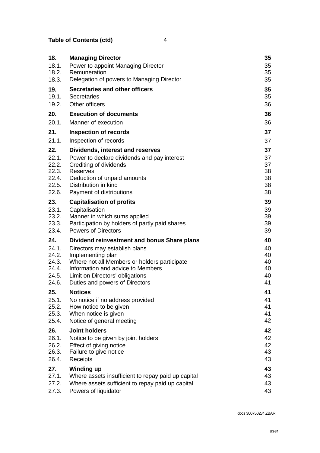**Table of Contents (ctd)** 

| 18.   | <b>Managing Director</b>                           | 35 |
|-------|----------------------------------------------------|----|
| 18.1. | Power to appoint Managing Director                 | 35 |
| 18.2. | Remuneration                                       | 35 |
| 18.3. | Delegation of powers to Managing Director          | 35 |
| 19.   | Secretaries and other officers                     | 35 |
| 19.1. | <b>Secretaries</b>                                 | 35 |
| 19.2. | Other officers                                     | 36 |
| 20.   | <b>Execution of documents</b>                      | 36 |
| 20.1. | Manner of execution                                | 36 |
| 21.   | <b>Inspection of records</b>                       | 37 |
| 21.1. | Inspection of records                              | 37 |
| 22.   | Dividends, interest and reserves                   | 37 |
| 22.1. | Power to declare dividends and pay interest        | 37 |
| 22.2. | Crediting of dividends                             | 37 |
| 22.3. | <b>Reserves</b>                                    | 38 |
| 22.4. | Deduction of unpaid amounts                        | 38 |
| 22.5. | Distribution in kind                               | 38 |
| 22.6. | Payment of distributions                           | 38 |
| 23.   | <b>Capitalisation of profits</b>                   | 39 |
| 23.1. | Capitalisation                                     | 39 |
| 23.2. | Manner in which sums applied                       | 39 |
| 23.3. | Participation by holders of partly paid shares     | 39 |
| 23.4. | <b>Powers of Directors</b>                         | 39 |
| 24.   | Dividend reinvestment and bonus Share plans        | 40 |
| 24.1. | Directors may establish plans                      | 40 |
| 24.2. | Implementing plan                                  | 40 |
| 24.3. | Where not all Members or holders participate       | 40 |
| 24.4. | Information and advice to Members                  | 40 |
| 24.5. | Limit on Directors' obligations                    | 40 |
| 24.6. | Duties and powers of Directors                     | 41 |
| 25.   | <b>Notices</b>                                     | 41 |
| 25.1. | No notice if no address provided                   | 41 |
| 25.2. | How notice to be given                             | 41 |
| 25.3. | When notice is given                               | 41 |
| 25.4. | Notice of general meeting                          | 42 |
| 26.   | <b>Joint holders</b>                               | 42 |
| 26.1. | Notice to be given by joint holders                | 42 |
| 26.2. | Effect of giving notice                            | 42 |
| 26.3. | Failure to give notice                             | 43 |
| 26.4. | <b>Receipts</b>                                    | 43 |
| 27.   | <b>Winding up</b>                                  | 43 |
| 27.1. | Where assets insufficient to repay paid up capital | 43 |
| 27.2. | Where assets sufficient to repay paid up capital   | 43 |
| 27.3. | Powers of liquidator                               | 43 |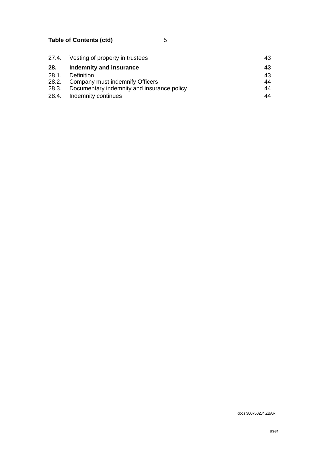# **Table of Contents (ctd)** 5

| 27.4. | Vesting of property in trustees            | 43  |
|-------|--------------------------------------------|-----|
| 28.   | Indemnity and insurance                    | 43  |
| 28.1. | Definition                                 | 43. |
| 28.2. | Company must indemnify Officers            | 44  |
| 28.3. | Documentary indemnity and insurance policy | 44  |
| 28.4. | Indemnity continues                        | 44  |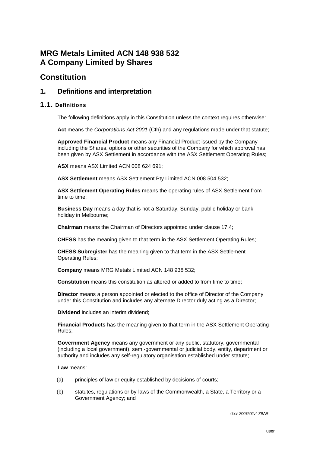# **MRG Metals Limited ACN 148 938 532 A Company Limited by Shares**

# **Constitution**

# **1. Definitions and interpretation**

# **1.1. Definitions**

The following definitions apply in this Constitution unless the context requires otherwise:

**Act** means the *Corporations Act 2001* (Cth) and any regulations made under that statute;

**Approved Financial Product** means any Financial Product issued by the Company including the Shares, options or other securities of the Company for which approval has been given by ASX Settlement in accordance with the ASX Settlement Operating Rules;

**ASX** means ASX Limited ACN 008 624 691;

**ASX Settlement** means ASX Settlement Pty Limited ACN 008 504 532;

**ASX Settlement Operating Rules** means the operating rules of ASX Settlement from time to time;

**Business Day** means a day that is not a Saturday, Sunday, public holiday or bank holiday in Melbourne;

**Chairman** means the Chairman of Directors appointed under clause 17.4;

**CHESS** has the meaning given to that term in the ASX Settlement Operating Rules;

**CHESS Subregister** has the meaning given to that term in the ASX Settlement Operating Rules;

**Company** means MRG Metals Limited ACN 148 938 532;

**Constitution** means this constitution as altered or added to from time to time;

**Director** means a person appointed or elected to the office of Director of the Company under this Constitution and includes any alternate Director duly acting as a Director;

**Dividend** includes an interim dividend;

**Financial Products** has the meaning given to that term in the ASX Settlement Operating Rules;

**Government Agency** means any government or any public, statutory, governmental (including a local government), semi-governmental or judicial body, entity, department or authority and includes any self-regulatory organisation established under statute;

**Law** means:

- (a) principles of law or equity established by decisions of courts;
- (b) statutes, regulations or by-laws of the Commonwealth, a State, a Territory or a Government Agency; and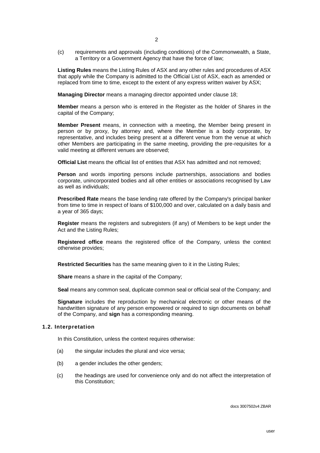(c) requirements and approvals (including conditions) of the Commonwealth, a State, a Territory or a Government Agency that have the force of law;

**Listing Rules** means the Listing Rules of ASX and any other rules and procedures of ASX that apply while the Company is admitted to the Official List of ASX, each as amended or replaced from time to time, except to the extent of any express written waiver by ASX;

**Managing Director** means a managing director appointed under clause 18;

**Member** means a person who is entered in the Register as the holder of Shares in the capital of the Company;

**Member Present** means, in connection with a meeting, the Member being present in person or by proxy, by attorney and, where the Member is a body corporate, by representative, and includes being present at a different venue from the venue at which other Members are participating in the same meeting, providing the pre-requisites for a valid meeting at different venues are observed;

**Official List** means the official list of entities that ASX has admitted and not removed;

**Person** and words importing persons include partnerships, associations and bodies corporate, unincorporated bodies and all other entities or associations recognised by Law as well as individuals;

**Prescribed Rate** means the base lending rate offered by the Company's principal banker from time to time in respect of loans of \$100,000 and over, calculated on a daily basis and a year of 365 days;

**Register** means the registers and subregisters (if any) of Members to be kept under the Act and the Listing Rules;

**Registered office** means the registered office of the Company, unless the context otherwise provides;

**Restricted Securities** has the same meaning given to it in the Listing Rules;

**Share** means a share in the capital of the Company;

**Seal** means any common seal, duplicate common seal or official seal of the Company; and

**Signature** includes the reproduction by mechanical electronic or other means of the handwritten signature of any person empowered or required to sign documents on behalf of the Company, and **sign** has a corresponding meaning.

#### **1.2. Interpretation**

In this Constitution, unless the context requires otherwise:

- (a) the singular includes the plural and vice versa;
- (b) a gender includes the other genders;
- (c) the headings are used for convenience only and do not affect the interpretation of this Constitution;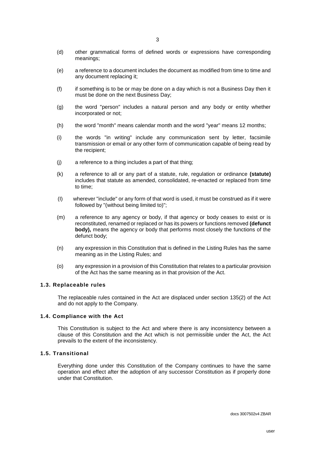- (d) other grammatical forms of defined words or expressions have corresponding meanings;
- (e) a reference to a document includes the document as modified from time to time and any document replacing it;
- (f) if something is to be or may be done on a day which is not a Business Day then it must be done on the next Business Day;
- (g) the word "person" includes a natural person and any body or entity whether incorporated or not;
- (h) the word "month" means calendar month and the word "year" means 12 months;
- (i) the words "in writing" include any communication sent by letter, facsimile transmission or email or any other form of communication capable of being read by the recipient;
- (j) a reference to a thing includes a part of that thing;
- (k) a reference to all or any part of a statute, rule, regulation or ordinance **(statute)**  includes that statute as amended, consolidated, re-enacted or replaced from time to time;
- (I) wherever "include" or any form of that word is used, it must be construed as if it were followed by "(without being limited to)";
- (m) a reference to any agency or body, if that agency or body ceases to exist or is reconstituted, renamed or replaced or has its powers or functions removed **(defunct body),** means the agency or body that performs most closely the functions of the defunct body;
- (n) any expression in this Constitution that is defined in the Listing Rules has the same meaning as in the Listing Rules; and
- (o) any expression in a provision of this Constitution that relates to a particular provision of the Act has the same meaning as in that provision of the Act.

#### **1.3. Replaceable rules**

The replaceable rules contained in the Act are displaced under section 135(2) of the Act and do not apply to the Company.

#### **1.4. Compliance with the Act**

This Constitution is subject to the Act and where there is any inconsistency between a clause of this Constitution and the Act which is not permissible under the Act, the Act prevails to the extent of the inconsistency.

#### **1.5. Transitional**

Everything done under this Constitution of the Company continues to have the same operation and effect after the adoption of any successor Constitution as if properly done under that Constitution.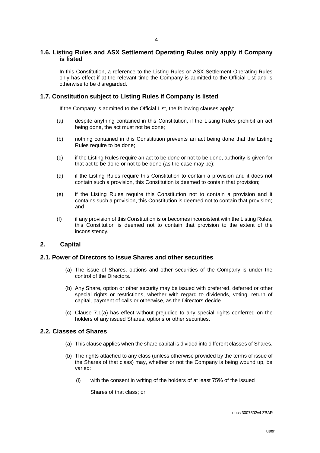# **1.6. Listing Rules and ASX Settlement Operating Rules only apply if Company is listed**

4

In this Constitution, a reference to the Listing Rules or ASX Settlement Operating Rules only has effect if at the relevant time the Company is admitted to the Official List and is otherwise to be disregarded.

# **1.7. Constitution subject to Listing Rules if Company is listed**

If the Company is admitted to the Official List, the following clauses apply:

- (a) despite anything contained in this Constitution, if the Listing Rules prohibit an act being done, the act must not be done;
- (b) nothing contained in this Constitution prevents an act being done that the Listing Rules require to be done;
- (c) if the Listing Rules require an act to be done or not to be done, authority is given for that act to be done or not to be done (as the case may be);
- (d) if the Listing Rules require this Constitution to contain a provision and it does not contain such a provision, this Constitution is deemed to contain that provision;
- (e) if the Listing Rules require this Constitution not to contain a provision and it contains such a provision, this Constitution is deemed not to contain that provision; and
- (f) if any provision of this Constitution is or becomes inconsistent with the Listing Rules, this Constitution is deemed not to contain that provision to the extent of the inconsistency.

# **2. Capital**

# **2.1. Power of Directors to issue Shares and other securities**

- (a) The issue of Shares, options and other securities of the Company is under the control of the Directors.
- (b) Any Share, option or other security may be issued with preferred, deferred or other special rights or restrictions, whether with regard to dividends, voting, return of capital, payment of calls or otherwise, as the Directors decide.
- (c) Clause 7.1(a) has effect without prejudice to any special rights conferred on the holders of any issued Shares, options or other securities.

# **2.2. Classes of Shares**

- (a) This clause applies when the share capital is divided into different classes of Shares.
- (b) The rights attached to any class (unless otherwise provided by the terms of issue of the Shares of that class) may, whether or not the Company is being wound up, be varied:
	- (i) with the consent in writing of the holders of at least 75% of the issued

Shares of that class; or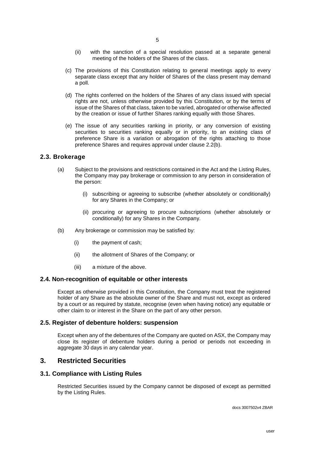- (ii) with the sanction of a special resolution passed at a separate general meeting of the holders of the Shares of the class.
- (c) The provisions of this Constitution relating to general meetings apply to every separate class except that any holder of Shares of the class present may demand a poll.
- (d) The rights conferred on the holders of the Shares of any class issued with special rights are not, unless otherwise provided by this Constitution, or by the terms of issue of the Shares of that class, taken to be varied, abrogated or otherwise affected by the creation or issue of further Shares ranking equally with those Shares.
- (e) The issue of any securities ranking in priority, or any conversion of existing securities to securities ranking equally or in priority, to an existing class of preference Share is a variation or abrogation of the rights attaching to those preference Shares and requires approval under clause 2.2(b).

#### **2.3. Brokerage**

- (a) Subject to the provisions and restrictions contained in the Act and the Listing Rules, the Company may pay brokerage or commission to any person in consideration of the person:
	- (i) subscribing or agreeing to subscribe (whether absolutely or conditionally) for any Shares in the Company; or
	- (ii) procuring or agreeing to procure subscriptions (whether absolutely or conditionally) for any Shares in the Company.
- (b) Any brokerage or commission may be satisfied by:
	- (i) the payment of cash;
	- (ii) the allotment of Shares of the Company; or
	- (iii) a mixture of the above.

#### **2.4. Non-recognition of equitable or other interests**

Except as otherwise provided in this Constitution, the Company must treat the registered holder of any Share as the absolute owner of the Share and must not, except as ordered by a court or as required by statute, recognise (even when having notice) any equitable or other claim to or interest in the Share on the part of any other person.

#### **2.5. Register of debenture holders: suspension**

Except when any of the debentures of the Company are quoted on ASX, the Company may close its register of debenture holders during a period or periods not exceeding in aggregate 30 days in any calendar year.

# **3. Restricted Securities**

#### **3.1. Compliance with Listing Rules**

Restricted Securities issued by the Company cannot be disposed of except as permitted by the Listing Rules.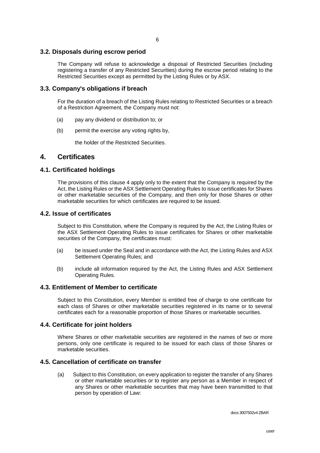# **3.2. Disposals during escrow period**

The Company will refuse to acknowledge a disposal of Restricted Securities (including registering a transfer of any Restricted Securities) during the escrow period relating to the Restricted Securities except as permitted by the Listing Rules or by ASX.

# **3.3. Company's obligations if breach**

For the duration of a breach of the Listing Rules relating to Restricted Securities or a breach of a Restriction Agreement, the Company must not:

- (a) pay any dividend or distribution to; or
- (b) permit the exercise any voting rights by,

the holder of the Restricted Securities.

# **4. Certificates**

# **4.1. Certificated holdings**

The provisions of this clause 4 apply only to the extent that the Company is required by the Act, the Listing Rules or the ASX Settlement Operating Rules to issue certificates for Shares or other marketable securities of the Company, and then only for those Shares or other marketable securities for which certificates are required to be issued.

# **4.2. Issue of certificates**

Subject to this Constitution, where the Company is required by the Act, the Listing Rules or the ASX Settlement Operating Rules to issue certificates for Shares or other marketable securities of the Company, the certificates must:

- (a) be issued under the Seal and in accordance with the Act, the Listing Rules and ASX Settlement Operating Rules; and
- (b) include all information required by the Act, the Listing Rules and ASX Settlement Operating Rules.

# **4.3. Entitlement of Member to certificate**

Subject to this Constitution, every Member is entitled free of charge to one certificate for each class of Shares or other marketable securities registered in its name or to several certificates each for a reasonable proportion of those Shares or marketable securities.

# **4.4. Certificate for joint holders**

Where Shares or other marketable securities are registered in the names of two or more persons, only one certificate is required to be issued for each class of those Shares or marketable securities.

# **4.5. Cancellation of certificate on transfer**

(a) Subject to this Constitution, on every application to register the transfer of any Shares or other marketable securities or to register any person as a Member in respect of any Shares or other marketable securities that may have been transmitted to that person by operation of Law: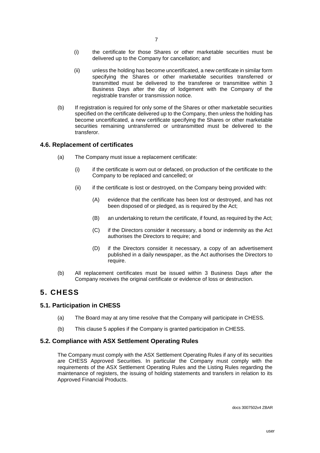- (i) the certificate for those Shares or other marketable securities must be delivered up to the Company for cancellation; and
- (ii) unless the holding has become uncertificated, a new certificate in similar form specifying the Shares or other marketable securities transferred or transmitted must be delivered to the transferee or transmittee within 3 Business Days after the day of lodgement with the Company of the registrable transfer or transmission notice.
- (b) If registration is required for only some of the Shares or other marketable securities specified on the certificate delivered up to the Company, then unless the holding has become uncertificated, a new certificate specifying the Shares or other marketable securities remaining untransferred or untransmitted must be delivered to the transferor.

# **4.6. Replacement of certificates**

- (a) The Company must issue a replacement certificate:
	- (i) if the certificate is worn out or defaced, on production of the certificate to the Company to be replaced and cancelled; or
	- (ii) if the certificate is lost or destroyed, on the Company being provided with:
		- (A) evidence that the certificate has been lost or destroyed, and has not been disposed of or pledged, as is required by the Act;
		- (B) an undertaking to return the certificate, if found, as required by the Act;
		- (C) if the Directors consider it necessary, a bond or indemnity as the Act authorises the Directors to require; and
		- (D) if the Directors consider it necessary, a copy of an advertisement published in a daily newspaper, as the Act authorises the Directors to require.
- (b) All replacement certificates must be issued within 3 Business Days after the Company receives the original certificate or evidence of loss or destruction.

# **5. CHESS**

# **5.1. Participation in CHESS**

- (a) The Board may at any time resolve that the Company will participate in CHESS.
- (b) This clause 5 applies if the Company is granted participation in CHESS.

#### **5.2. Compliance with ASX Settlement Operating Rules**

The Company must comply with the ASX Settlement Operating Rules if any of its securities are CHESS Approved Securities. In particular the Company must comply with the requirements of the ASX Settlement Operating Rules and the Listing Rules regarding the maintenance of registers, the issuing of holding statements and transfers in relation to its Approved Financial Products.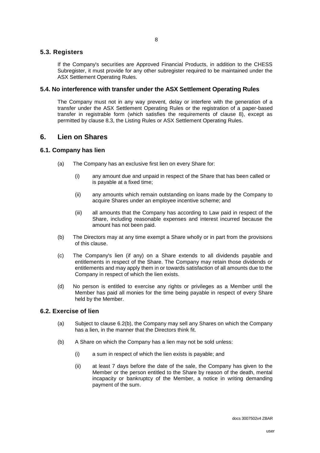# **5.3. Registers**

If the Company's securities are Approved Financial Products, in addition to the CHESS Subregister, it must provide for any other subregister required to be maintained under the ASX Settlement Operating Rules.

# **5.4. No interference with transfer under the ASX Settlement Operating Rules**

The Company must not in any way prevent, delay or interfere with the generation of a transfer under the ASX Settlement Operating Rules or the registration of a paper-based transfer in registrable form (which satisfies the requirements of clause 8), except as permitted by clause 8.3, the Listing Rules or ASX Settlement Operating Rules.

# **6. Lien on Shares**

# **6.1. Company has lien**

- (a) The Company has an exclusive first lien on every Share for:
	- (i) any amount due and unpaid in respect of the Share that has been called or is payable at a fixed time;
	- (ii) any amounts which remain outstanding on loans made by the Company to acquire Shares under an employee incentive scheme; and
	- (iii) all amounts that the Company has according to Law paid in respect of the Share, including reasonable expenses and interest incurred because the amount has not been paid.
- (b) The Directors may at any time exempt a Share wholly or in part from the provisions of this clause.
- (c) The Company's lien (if any) on a Share extends to all dividends payable and entitlements in respect of the Share. The Company may retain those dividends or entitlements and may apply them in or towards satisfaction of all amounts due to the Company in respect of which the lien exists.
- (d) No person is entitled to exercise any rights or privileges as a Member until the Member has paid all monies for the time being payable in respect of every Share held by the Member.

# **6.2. Exercise of lien**

- (a) Subject to clause 6.2(b), the Company may sell any Shares on which the Company has a lien, in the manner that the Directors think fit.
- (b) A Share on which the Company has a lien may not be sold unless:
	- (i) a sum in respect of which the lien exists is payable; and
	- (ii) at least 7 days before the date of the sale, the Company has given to the Member or the person entitled to the Share by reason of the death, mental incapacity or bankruptcy of the Member, a notice in writing demanding payment of the sum.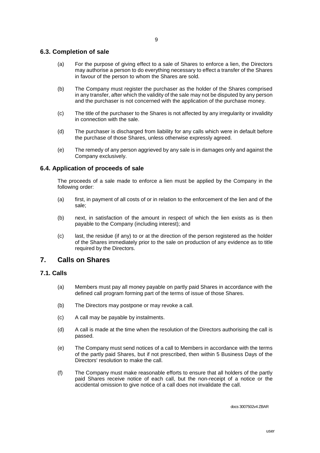# **6.3. Completion of sale**

- (a) For the purpose of giving effect to a sale of Shares to enforce a lien, the Directors may authorise a person to do everything necessary to effect a transfer of the Shares in favour of the person to whom the Shares are sold.
- (b) The Company must register the purchaser as the holder of the Shares comprised in any transfer, after which the validity of the sale may not be disputed by any person and the purchaser is not concerned with the application of the purchase money.
- (c) The title of the purchaser to the Shares is not affected by any irregularity or invalidity in connection with the sale.
- (d) The purchaser is discharged from liability for any calls which were in default before the purchase of those Shares, unless otherwise expressly agreed.
- (e) The remedy of any person aggrieved by any sale is in damages only and against the Company exclusively.

#### **6.4. Application of proceeds of sale**

The proceeds of a sale made to enforce a lien must be applied by the Company in the following order:

- (a) first, in payment of all costs of or in relation to the enforcement of the lien and of the sale;
- (b) next, in satisfaction of the amount in respect of which the lien exists as is then payable to the Company (including interest); and
- (c) last, the residue (if any) to or at the direction of the person registered as the holder of the Shares immediately prior to the sale on production of any evidence as to title required by the Directors.

# **7. Calls on Shares**

# **7.1. Calls**

- (a) Members must pay all money payable on partly paid Shares in accordance with the defined call program forming part of the terms of issue of those Shares.
- (b) The Directors may postpone or may revoke a call.
- (c) A call may be payable by instalments.
- (d) A call is made at the time when the resolution of the Directors authorising the call is passed.
- (e) The Company must send notices of a call to Members in accordance with the terms of the partly paid Shares, but if not prescribed, then within 5 Business Days of the Directors' resolution to make the call.
- (f) The Company must make reasonable efforts to ensure that all holders of the partly paid Shares receive notice of each call, but the non-receipt of a notice or the accidental omission to give notice of a call does not invalidate the call.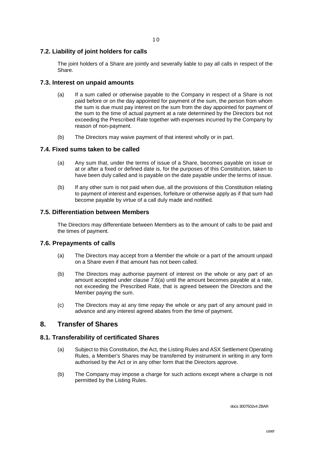# **7.2. Liability of joint holders for calls**

The joint holders of a Share are jointly and severally liable to pay all calls in respect of the Share.

# **7.3. Interest on unpaid amounts**

- (a) If a sum called or otherwise payable to the Company in respect of a Share is not paid before or on the day appointed for payment of the sum, the person from whom the sum is due must pay interest on the sum from the day appointed for payment of the sum to the time of actual payment at a rate determined by the Directors but not exceeding the Prescribed Rate together with expenses incurred by the Company by reason of non-payment.
- (b) The Directors may waive payment of that interest wholly or in part.

#### **7.4. Fixed sums taken to be called**

- (a) Any sum that, under the terms of issue of a Share, becomes payable on issue or at or after a fixed or defined date is, for the purposes of this Constitution, taken to have been duly called and is payable on the date payable under the terms of issue.
- (b) If any other sum is not paid when due, all the provisions of this Constitution relating to payment of interest and expenses, forfeiture or otherwise apply as if that sum had become payable by virtue of a call duly made and notified.

#### **7.5. Differentiation between Members**

The Directors may differentiate between Members as to the amount of calls to be paid and the times of payment.

# **7.6. Prepayments of calls**

- (a) The Directors may accept from a Member the whole or a part of the amount unpaid on a Share even if that amount has not been called.
- (b) The Directors may authorise payment of interest on the whole or any part of an amount accepted under clause 7.6(a) until the amount becomes payable at a rate, not exceeding the Prescribed Rate, that is agreed between the Directors and the Member paying the sum.
- (c) The Directors may at any time repay the whole or any part of any amount paid in advance and any interest agreed abates from the time of payment.

# **8. Transfer of Shares**

# **8.1. Transferability of certificated Shares**

- (a) Subject to this Constitution, the Act, the Listing Rules and ASX Settlement Operating Rules, a Member's Shares may be transferred by instrument in writing in any form authorised by the Act or in any other form that the Directors approve.
- (b) The Company may impose a charge for such actions except where a charge is not permitted by the Listing Rules.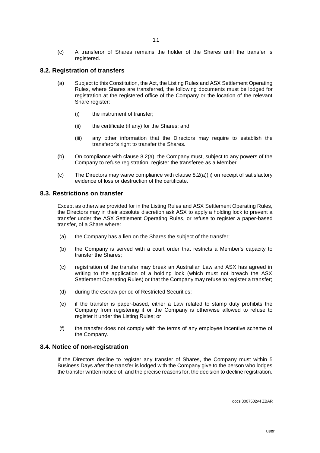(c) A transferor of Shares remains the holder of the Shares until the transfer is registered.

# **8.2. Registration of transfers**

- (a) Subject to this Constitution, the Act, the Listing Rules and ASX Settlement Operating Rules, where Shares are transferred, the following documents must be lodged for registration at the registered office of the Company or the location of the relevant Share register:
	- (i) the instrument of transfer;
	- (ii) the certificate (if any) for the Shares; and
	- (iii) any other information that the Directors may require to establish the transferor's right to transfer the Shares.
- (b) On compliance with clause 8.2(a), the Company must, subject to any powers of the Company to refuse registration, register the transferee as a Member.
- (c) The Directors may waive compliance with clause 8.2(a)(ii) on receipt of satisfactory evidence of loss or destruction of the certificate.

#### **8.3. Restrictions on transfer**

Except as otherwise provided for in the Listing Rules and ASX Settlement Operating Rules, the Directors may in their absolute discretion ask ASX to apply a holding lock to prevent a transfer under the ASX Settlement Operating Rules, or refuse to register a paper-based transfer, of a Share where:

- (a) the Company has a lien on the Shares the subject of the transfer;
- (b) the Company is served with a court order that restricts a Member's capacity to transfer the Shares;
- (c) registration of the transfer may break an Australian Law and ASX has agreed in writing to the application of a holding lock (which must not breach the ASX Settlement Operating Rules) or that the Company may refuse to register a transfer;
- (d) during the escrow period of Restricted Securities;
- (e) if the transfer is paper-based, either a Law related to stamp duty prohibits the Company from registering it or the Company is otherwise allowed to refuse to register it under the Listing Rules; or
- (f) the transfer does not comply with the terms of any employee incentive scheme of the Company.

# **8.4. Notice of non-registration**

If the Directors decline to register any transfer of Shares, the Company must within 5 Business Days after the transfer is lodged with the Company give to the person who lodges the transfer written notice of, and the precise reasons for, the decision to decline registration.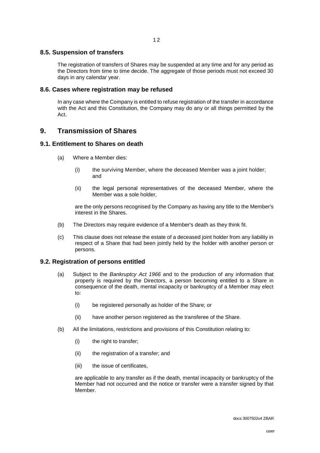# **8.5. Suspension of transfers**

The registration of transfers of Shares may be suspended at any time and for any period as the Directors from time to time decide. The aggregate of those periods must not exceed 30 days in any calendar year.

# **8.6. Cases where registration may be refused**

In any case where the Company is entitled to refuse registration of the transfer in accordance with the Act and this Constitution, the Company may do any or all things permitted by the Act.

# **9. Transmission of Shares**

# **9.1. Entitlement to Shares on death**

- (a) Where a Member dies:
	- (i) the surviving Member, where the deceased Member was a joint holder; and
	- (ii) the legal personal representatives of the deceased Member, where the Member was a sole holder,

are the only persons recognised by the Company as having any title to the Member's interest in the Shares.

- (b) The Directors may require evidence of a Member's death as they think fit.
- (c) This clause does not release the estate of a deceased joint holder from any liability in respect of a Share that had been jointly held by the holder with another person or persons.

# **9.2. Registration of persons entitled**

- (a) Subject to the *Bankruptcy Act 1966* and to the production of any information that properly is required by the Directors, a person becoming entitled to a Share in consequence of the death, mental incapacity or bankruptcy of a Member may elect to:
	- (i) be registered personally as holder of the Share; or
	- (ii) have another person registered as the transferee of the Share.
- (b) All the limitations, restrictions and provisions of this Constitution relating to:
	- (i) the right to transfer;
	- (ii) the registration of a transfer; and
	- (iii) the issue of certificates,

are applicable to any transfer as if the death, mental incapacity or bankruptcy of the Member had not occurred and the notice or transfer were a transfer signed by that Member.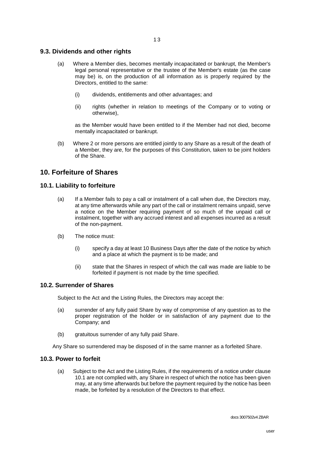# **9.3. Dividends and other rights**

- (a) Where a Member dies, becomes mentally incapacitated or bankrupt, the Member's legal personal representative or the trustee of the Member's estate (as the case may be) is, on the production of all information as is properly required by the Directors, entitled to the same:
	- (i) dividends, entitlements and other advantages; and
	- (ii) rights (whether in relation to meetings of the Company or to voting or otherwise),

as the Member would have been entitled to if the Member had not died, become mentally incapacitated or bankrupt.

(b) Where 2 or more persons are entitled jointly to any Share as a result of the death of a Member, they are, for the purposes of this Constitution, taken to be joint holders of the Share.

# **10. Forfeiture of Shares**

# **10.1. Liability to forfeiture**

- (a) If a Member fails to pay a call or instalment of a call when due, the Directors may, at any time afterwards while any part of the call or instalment remains unpaid, serve a notice on the Member requiring payment of so much of the unpaid call or instalment, together with any accrued interest and all expenses incurred as a result of the non-payment.
- (b) The notice must:
	- (i) specify a day at least 10 Business Days after the date of the notice by which and a place at which the payment is to be made; and
	- (ii) state that the Shares in respect of which the call was made are liable to be forfeited if payment is not made by the time specified.

# **10.2. Surrender of Shares**

Subject to the Act and the Listing Rules, the Directors may accept the:

- (a) surrender of any fully paid Share by way of compromise of any question as to the proper registration of the holder or in satisfaction of any payment due to the Company; and
- (b) gratuitous surrender of any fully paid Share.

Any Share so surrendered may be disposed of in the same manner as a forfeited Share.

#### **10.3. Power to forfeit**

(a) Subject to the Act and the Listing Rules, if the requirements of a notice under clause 10.1 are not complied with, any Share in respect of which the notice has been given may, at any time afterwards but before the payment required by the notice has been made, be forfeited by a resolution of the Directors to that effect.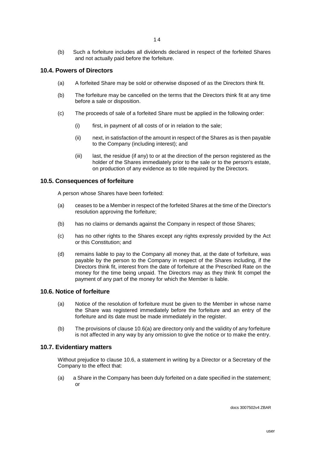(b) Such a forfeiture includes all dividends declared in respect of the forfeited Shares and not actually paid before the forfeiture.

# **10.4. Powers of Directors**

- (a) A forfeited Share may be sold or otherwise disposed of as the Directors think fit.
- (b) The forfeiture may be cancelled on the terms that the Directors think fit at any time before a sale or disposition.
- (c) The proceeds of sale of a forfeited Share must be applied in the following order:
	- $(i)$  first, in payment of all costs of or in relation to the sale;
	- (ii) next, in satisfaction of the amount in respect of the Shares as is then payable to the Company (including interest); and
	- (iii) last, the residue (if any) to or at the direction of the person registered as the holder of the Shares immediately prior to the sale or to the person's estate, on production of any evidence as to title required by the Directors.

# **10.5. Consequences of forfeiture**

A person whose Shares have been forfeited:

- (a) ceases to be a Member in respect of the forfeited Shares at the time of the Director's resolution approving the forfeiture;
- (b) has no claims or demands against the Company in respect of those Shares;
- (c) has no other rights to the Shares except any rights expressly provided by the Act or this Constitution; and
- (d) remains liable to pay to the Company all money that, at the date of forfeiture, was payable by the person to the Company in respect of the Shares including, if the Directors think fit, interest from the date of forfeiture at the Prescribed Rate on the money for the time being unpaid. The Directors may as they think fit compel the payment of any part of the money for which the Member is liable.

# **10.6. Notice of forfeiture**

- (a) Notice of the resolution of forfeiture must be given to the Member in whose name the Share was registered immediately before the forfeiture and an entry of the forfeiture and its date must be made immediately in the register.
- (b) The provisions of clause 10.6(a) are directory only and the validity of any forfeiture is not affected in any way by any omission to give the notice or to make the entry.

# **10.7. Evidentiary matters**

Without prejudice to clause 10.6, a statement in writing by a Director or a Secretary of the Company to the effect that:

(a) a Share in the Company has been duly forfeited on a date specified in the statement; or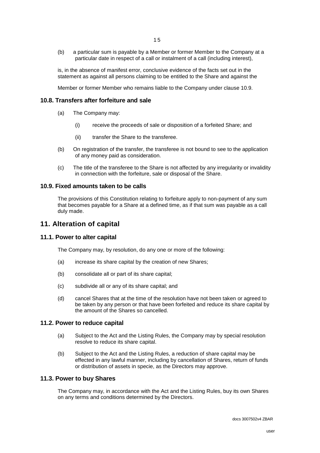(b) a particular sum is payable by a Member or former Member to the Company at a particular date in respect of a call or instalment of a call (including interest),

is, in the absence of manifest error, conclusive evidence of the facts set out in the statement as against all persons claiming to be entitled to the Share and against the

Member or former Member who remains liable to the Company under clause 10.9.

# **10.8. Transfers after forfeiture and sale**

- (a) The Company may:
	- (i) receive the proceeds of sale or disposition of a forfeited Share; and
	- (ii) transfer the Share to the transferee.
- (b) On registration of the transfer, the transferee is not bound to see to the application of any money paid as consideration.
- (c) The title of the transferee to the Share is not affected by any irregularity or invalidity in connection with the forfeiture, sale or disposal of the Share.

# **10.9. Fixed amounts taken to be calls**

The provisions of this Constitution relating to forfeiture apply to non-payment of any sum that becomes payable for a Share at a defined time, as if that sum was payable as a call duly made.

# **11. Alteration of capital**

#### **11.1. Power to alter capital**

The Company may, by resolution, do any one or more of the following:

- (a) increase its share capital by the creation of new Shares;
- (b) consolidate all or part of its share capital;
- (c) subdivide all or any of its share capital; and
- (d) cancel Shares that at the time of the resolution have not been taken or agreed to be taken by any person or that have been forfeited and reduce its share capital by the amount of the Shares so cancelled.

# **11.2. Power to reduce capital**

- (a) Subject to the Act and the Listing Rules, the Company may by special resolution resolve to reduce its share capital.
- (b) Subject to the Act and the Listing Rules, a reduction of share capital may be effected in any lawful manner, including by cancellation of Shares, return of funds or distribution of assets in specie, as the Directors may approve.

#### **11.3. Power to buy Shares**

The Company may, in accordance with the Act and the Listing Rules, buy its own Shares on any terms and conditions determined by the Directors.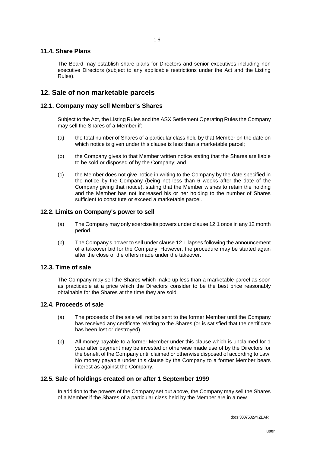# **11.4. Share Plans**

The Board may establish share plans for Directors and senior executives including non executive Directors (subject to any applicable restrictions under the Act and the Listing Rules).

# **12. Sale of non marketable parcels**

# **12.1. Company may sell Member's Shares**

Subject to the Act, the Listing Rules and the ASX Settlement Operating Rules the Company may sell the Shares of a Member if:

- (a) the total number of Shares of a particular class held by that Member on the date on which notice is given under this clause is less than a marketable parcel;
- (b) the Company gives to that Member written notice stating that the Shares are liable to be sold or disposed of by the Company; and
- (c) the Member does not give notice in writing to the Company by the date specified in the notice by the Company (being not less than 6 weeks after the date of the Company giving that notice), stating that the Member wishes to retain the holding and the Member has not increased his or her holding to the number of Shares sufficient to constitute or exceed a marketable parcel.

# **12.2. Limits on Company's power to sell**

- (a) The Company may only exercise its powers under clause 12.1 once in any 12 month period.
- (b) The Company's power to sell under clause 12.1 lapses following the announcement of a takeover bid for the Company. However, the procedure may be started again after the close of the offers made under the takeover.

# **12.3. Time of sale**

The Company may sell the Shares which make up less than a marketable parcel as soon as practicable at a price which the Directors consider to be the best price reasonably obtainable for the Shares at the time they are sold.

# **12.4. Proceeds of sale**

- (a) The proceeds of the sale will not be sent to the former Member until the Company has received any certificate relating to the Shares (or is satisfied that the certificate has been lost or destroyed).
- (b) All money payable to a former Member under this clause which is unclaimed for 1 year after payment may be invested or otherwise made use of by the Directors for the benefit of the Company until claimed or otherwise disposed of according to Law. No money payable under this clause by the Company to a former Member bears interest as against the Company.

# **12.5. Sale of holdings created on or after 1 September 1999**

In addition to the powers of the Company set out above, the Company may sell the Shares of a Member if the Shares of a particular class held by the Member are in a new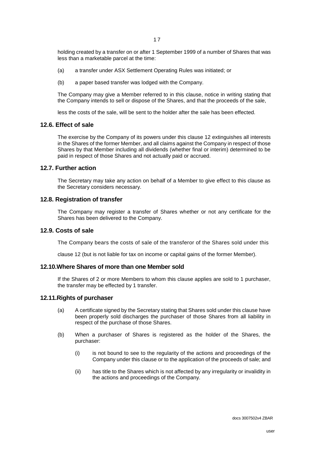holding created by a transfer on or after 1 September 1999 of a number of Shares that was less than a marketable parcel at the time:

- (a) a transfer under ASX Settlement Operating Rules was initiated; or
- (b) a paper based transfer was lodged with the Company.

The Company may give a Member referred to in this clause, notice in writing stating that the Company intends to sell or dispose of the Shares, and that the proceeds of the sale,

less the costs of the sale, will be sent to the holder after the sale has been effected.

# **12.6. Effect of sale**

The exercise by the Company of its powers under this clause 12 extinguishes all interests in the Shares of the former Member, and all claims against the Company in respect of those Shares by that Member including all dividends (whether final or interim) determined to be paid in respect of those Shares and not actually paid or accrued.

# **12.7. Further action**

The Secretary may take any action on behalf of a Member to give effect to this clause as the Secretary considers necessary.

#### **12.8. Registration of transfer**

The Company may register a transfer of Shares whether or not any certificate for the Shares has been delivered to the Company.

#### **12.9. Costs of sale**

The Company bears the costs of sale of the transferor of the Shares sold under this

clause 12 (but is not liable for tax on income or capital gains of the former Member).

#### **12.10.Where Shares of more than one Member sold**

If the Shares of 2 or more Members to whom this clause applies are sold to 1 purchaser, the transfer may be effected by 1 transfer.

#### **12.11.Rights of purchaser**

- (a) A certificate signed by the Secretary stating that Shares sold under this clause have been properly sold discharges the purchaser of those Shares from all liability in respect of the purchase of those Shares.
- (b) When a purchaser of Shares is registered as the holder of the Shares, the purchaser:
	- (i) is not bound to see to the regularity of the actions and proceedings of the Company under this clause or to the application of the proceeds of sale; and
	- (ii) has title to the Shares which is not affected by any irregularity or invalidity in the actions and proceedings of the Company.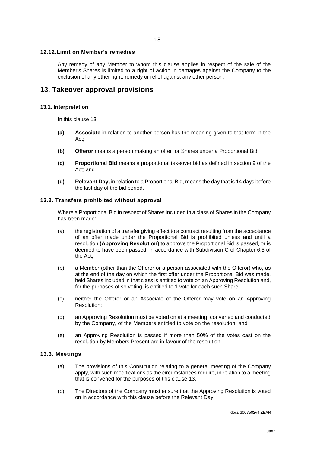#### **12.12.Limit on Member's remedies**

Any remedy of any Member to whom this clause applies in respect of the sale of the Member's Shares is limited to a right of action in damages against the Company to the exclusion of any other right, remedy or relief against any other person.

# **13. Takeover approval provisions**

#### **13.1. Interpretation**

In this clause 13:

- **(a) Associate** in relation to another person has the meaning given to that term in the Act;
- **(b) Offeror** means a person making an offer for Shares under a Proportional Bid;
- **(c) Proportional Bid** means a proportional takeover bid as defined in section 9 of the Act; and
- **(d) Relevant Day,** in relation to a Proportional Bid, means the day that is 14 days before the last day of the bid period.

#### **13.2. Transfers prohibited without approval**

Where a Proportional Bid in respect of Shares included in a class of Shares in the Company has been made:

- (a) the registration of a transfer giving effect to a contract resulting from the acceptance of an offer made under the Proportional Bid is prohibited unless and until a resolution **(Approving Resolution)** to approve the Proportional Bid is passed, or is deemed to have been passed, in accordance with Subdivision C of Chapter 6.5 of the Act;
- (b) a Member (other than the Offeror or a person associated with the Offeror) who, as at the end of the day on which the first offer under the Proportional Bid was made, held Shares included in that class is entitled to vote on an Approving Resolution and, for the purposes of so voting, is entitled to 1 vote for each such Share;
- (c) neither the Offeror or an Associate of the Offeror may vote on an Approving Resolution;
- (d) an Approving Resolution must be voted on at a meeting, convened and conducted by the Company, of the Members entitled to vote on the resolution; and
- (e) an Approving Resolution is passed if more than 50% of the votes cast on the resolution by Members Present are in favour of the resolution.

#### **13.3. Meetings**

- (a) The provisions of this Constitution relating to a general meeting of the Company apply, with such modifications as the circumstances require, in relation to a meeting that is convened for the purposes of this clause 13.
- (b) The Directors of the Company must ensure that the Approving Resolution is voted on in accordance with this clause before the Relevant Day.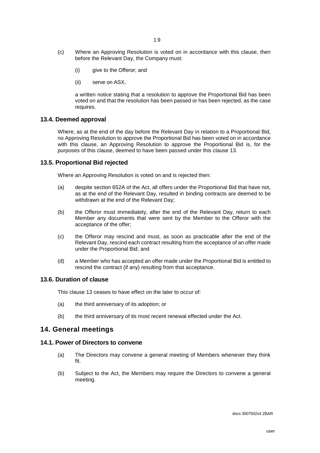- (c) Where an Approving Resolution is voted on in accordance with this clause, then before the Relevant Day, the Company must:
	- (i) give to the Offeror; and
	- (ii) serve on ASX,

a written notice stating that a resolution to approve the Proportional Bid has been voted on and that the resolution has been passed or has been rejected, as the case requires.

# **13.4. Deemed approval**

Where, as at the end of the day before the Relevant Day in relation to a Proportional Bid, no Approving Resolution to approve the Proportional Bid has been voted on in accordance with this clause, an Approving Resolution to approve the Proportional Bid is, for the purposes of this clause, deemed to have been passed under this clause 13.

#### **13.5. Proportional Bid rejected**

Where an Approving Resolution is voted on and is rejected then:

- (a) despite section 652A of the Act, all offers under the Proportional Bid that have not, as at the end of the Relevant Day, resulted in binding contracts are deemed to be withdrawn at the end of the Relevant Day;
- (b) the Offeror must immediately, after the end of the Relevant Day, return to each Member any documents that were sent by the Member to the Offeror with the acceptance of the offer;
- (c) the Offeror may rescind and must, as soon as practicable after the end of the Relevant Day, rescind each contract resulting from the acceptance of an offer made under the Proportional Bid; and
- (d) a Member who has accepted an offer made under the Proportional Bid is entitled to rescind the contract (if any) resulting from that acceptance.

### **13.6. Duration of clause**

This clause 13 ceases to have effect on the later to occur of:

- (a) the third anniversary of its adoption; or
- (b) the third anniversary of its most recent renewal effected under the Act.

# **14. General meetings**

#### **14.1. Power of Directors to convene**

- (a) The Directors may convene a general meeting of Members whenever they think fit.
- (b) Subject to the Act, the Members may require the Directors to convene a general meeting.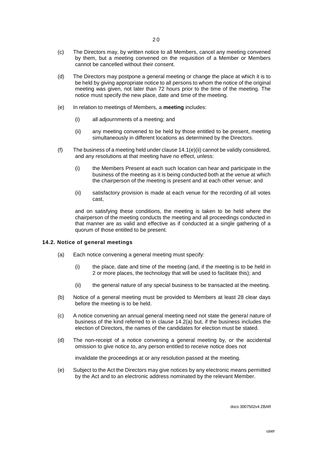- (c) The Directors may, by written notice to all Members, cancel any meeting convened by them, but a meeting convened on the requisition of a Member or Members cannot be cancelled without their consent.
- (d) The Directors may postpone a general meeting or change the place at which it is to be held by giving appropriate notice to all persons to whom the notice of the original meeting was given, not later than 72 hours prior to the time of the meeting. The notice must specify the new place, date and time of the meeting.
- (e) In relation to meetings of Members, a **meeting** includes:
	- (i) all adjournments of a meeting; and
	- (ii) any meeting convened to be held by those entitled to be present, meeting simultaneously in different locations as determined by the Directors.
- (f) The business of a meeting held under clause  $14.1(e)(ii)$  cannot be validly considered, and any resolutions at that meeting have no effect, unless:
	- (i) the Members Present at each such location can hear and participate in the business of the meeting as it is being conducted both at the venue at which the chairperson of the meeting is present and at each other venue; and
	- (ii) satisfactory provision is made at each venue for the recording of all votes cast,

and on satisfying these conditions, the meeting is taken to be held where the chairperson of the meeting conducts the meeting and all proceedings conducted in that manner are as valid and effective as if conducted at a single gathering of a quorum of those entitled to be present.

#### **14.2. Notice of general meetings**

- (a) Each notice convening a general meeting must specify:
	- (i) the place, date and time of the meeting (and, if the meeting is to be held in 2 or more places, the technology that will be used to facilitate this); and
	- (ii) the general nature of any special business to be transacted at the meeting.
- (b) Notice of a general meeting must be provided to Members at least 28 clear days before the meeting is to be held.
- (c) A notice convening an annual general meeting need not state the general nature of business of the kind referred to in clause 14.2(a) but, if the business includes the election of Directors, the names of the candidates for election must be stated.
- (d) The non-receipt of a notice convening a general meeting by, or the accidental omission to give notice to, any person entitled to receive notice does not

invalidate the proceedings at or any resolution passed at the meeting.

(e) Subject to the Act the Directors may give notices by any electronic means permitted by the Act and to an electronic address nominated by the relevant Member.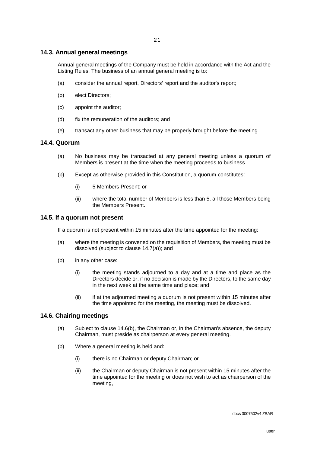# **14.3. Annual general meetings**

Annual general meetings of the Company must be held in accordance with the Act and the Listing Rules. The business of an annual general meeting is to:

- (a) consider the annual report, Directors' report and the auditor's report;
- (b) elect Directors;
- (c) appoint the auditor;
- (d) fix the remuneration of the auditors; and
- (e) transact any other business that may be properly brought before the meeting.

# **14.4. Quorum**

- (a) No business may be transacted at any general meeting unless a quorum of Members is present at the time when the meeting proceeds to business.
- (b) Except as otherwise provided in this Constitution, a quorum constitutes:
	- (i) 5 Members Present; or
	- (ii) where the total number of Members is less than 5, all those Members being the Members Present.

### **14.5. If a quorum not present**

If a quorum is not present within 15 minutes after the time appointed for the meeting:

- (a) where the meeting is convened on the requisition of Members, the meeting must be dissolved (subject to clause 14.7(a)); and
- (b) in any other case:
	- (i) the meeting stands adjourned to a day and at a time and place as the Directors decide or, if no decision is made by the Directors, to the same day in the next week at the same time and place; and
	- (ii) if at the adjourned meeting a quorum is not present within 15 minutes after the time appointed for the meeting, the meeting must be dissolved.

# **14.6. Chairing meetings**

- (a) Subject to clause 14.6(b), the Chairman or, in the Chairman's absence, the deputy Chairman, must preside as chairperson at every general meeting.
- (b) Where a general meeting is held and:
	- (i) there is no Chairman or deputy Chairman; or
	- (ii) the Chairman or deputy Chairman is not present within 15 minutes after the time appointed for the meeting or does not wish to act as chairperson of the meeting,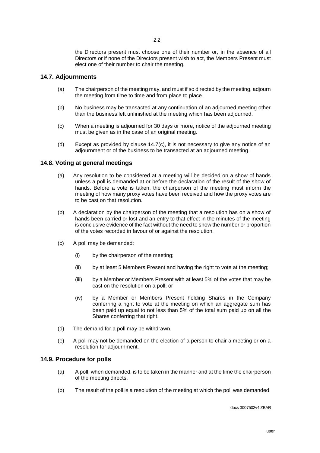the Directors present must choose one of their number or, in the absence of all Directors or if none of the Directors present wish to act, the Members Present must elect one of their number to chair the meeting.

#### **14.7. Adjournments**

- (a) The chairperson of the meeting may, and must if so directed by the meeting, adjourn the meeting from time to time and from place to place.
- (b) No business may be transacted at any continuation of an adjourned meeting other than the business left unfinished at the meeting which has been adjourned.
- (c) When a meeting is adjourned for 30 days or more, notice of the adjourned meeting must be given as in the case of an original meeting.
- (d) Except as provided by clause 14.7(c), it is not necessary to give any notice of an adjournment or of the business to be transacted at an adjourned meeting.

#### **14.8. Voting at general meetings**

- (a) Any resolution to be considered at a meeting will be decided on a show of hands unless a poll is demanded at or before the declaration of the result of the show of hands. Before a vote is taken, the chairperson of the meeting must inform the meeting of how many proxy votes have been received and how the proxy votes are to be cast on that resolution.
- (b) A declaration by the chairperson of the meeting that a resolution has on a show of hands been carried or lost and an entry to that effect in the minutes of the meeting is conclusive evidence of the fact without the need to show the number or proportion of the votes recorded in favour of or against the resolution.
- (c) A poll may be demanded:
	- (i) by the chairperson of the meeting;
	- (ii) by at least 5 Members Present and having the right to vote at the meeting;
	- (iii) by a Member or Members Present with at least 5% of the votes that may be cast on the resolution on a poll; or
	- (iv) by a Member or Members Present holding Shares in the Company conferring a right to vote at the meeting on which an aggregate sum has been paid up equal to not less than 5% of the total sum paid up on all the Shares conferring that right.
- (d) The demand for a poll may be withdrawn.
- (e) A poll may not be demanded on the election of a person to chair a meeting or on a resolution for adjournment.

#### **14.9. Procedure for polls**

- (a) A poll, when demanded, is to be taken in the manner and at the time the chairperson of the meeting directs.
- (b) The result of the poll is a resolution of the meeting at which the poll was demanded.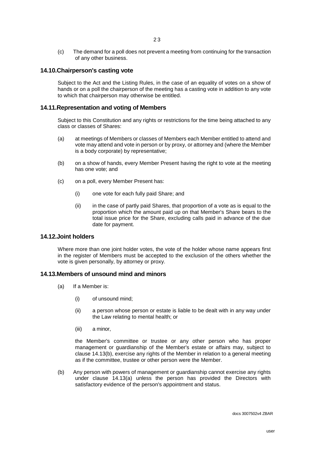(c) The demand for a poll does not prevent a meeting from continuing for the transaction of any other business.

#### **14.10.Chairperson's casting vote**

Subject to the Act and the Listing Rules, in the case of an equality of votes on a show of hands or on a poll the chairperson of the meeting has a casting vote in addition to any vote to which that chairperson may otherwise be entitled.

#### **14.11.Representation and voting of Members**

Subject to this Constitution and any rights or restrictions for the time being attached to any class or classes of Shares:

- (a) at meetings of Members or classes of Members each Member entitled to attend and vote may attend and vote in person or by proxy, or attorney and (where the Member is a body corporate) by representative;
- (b) on a show of hands, every Member Present having the right to vote at the meeting has one vote; and
- (c) on a poll, every Member Present has:
	- (i) one vote for each fully paid Share; and
	- (ii) in the case of partly paid Shares, that proportion of a vote as is equal to the proportion which the amount paid up on that Member's Share bears to the total issue price for the Share, excluding calls paid in advance of the due date for payment.

#### **14.12.Joint holders**

Where more than one joint holder votes, the vote of the holder whose name appears first in the register of Members must be accepted to the exclusion of the others whether the vote is given personally, by attorney or proxy.

# **14.13.Members of unsound mind and minors**

- (a) If a Member is:
	- (i) of unsound mind;
	- (ii) a person whose person or estate is liable to be dealt with in any way under the Law relating to mental health; or
	- (iii) a minor,

the Member's committee or trustee or any other person who has proper management or guardianship of the Member's estate or affairs may, subject to clause 14.13(b), exercise any rights of the Member in relation to a general meeting as if the committee, trustee or other person were the Member.

(b) Any person with powers of management or guardianship cannot exercise any rights under clause 14.13(a) unless the person has provided the Directors with satisfactory evidence of the person's appointment and status.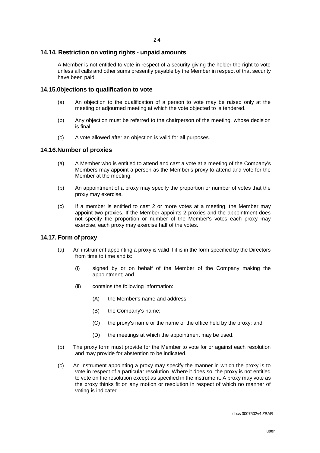#### **14.14. Restriction on voting rights - unpaid amounts**

A Member is not entitled to vote in respect of a security giving the holder the right to vote unless all calls and other sums presently payable by the Member in respect of that security have been paid.

### **14.15.0bjections to qualification to vote**

- (a) An objection to the qualification of a person to vote may be raised only at the meeting or adjourned meeting at which the vote objected to is tendered.
- (b) Any objection must be referred to the chairperson of the meeting, whose decision is final.
- (c) A vote allowed after an objection is valid for all purposes.

#### **14.16.Number of proxies**

- (a) A Member who is entitled to attend and cast a vote at a meeting of the Company's Members may appoint a person as the Member's proxy to attend and vote for the Member at the meeting.
- (b) An appointment of a proxy may specify the proportion or number of votes that the proxy may exercise.
- (c) If a member is entitled to cast 2 or more votes at a meeting, the Member may appoint two proxies. If the Member appoints 2 proxies and the appointment does not specify the proportion or number of the Member's votes each proxy may exercise, each proxy may exercise half of the votes.

#### **14.17. Form of proxy**

- (a) An instrument appointing a proxy is valid if it is in the form specified by the Directors from time to time and is:
	- (i) signed by or on behalf of the Member of the Company making the appointment; and
	- (ii) contains the following information:
		- (A) the Member's name and address;
		- (B) the Company's name;
		- (C) the proxy's name or the name of the office held by the proxy; and
		- (D) the meetings at which the appointment may be used.
- (b) The proxy form must provide for the Member to vote for or against each resolution and may provide for abstention to be indicated.
- (c) An instrument appointing a proxy may specify the manner in which the proxy is to vote in respect of a particular resolution. Where it does so, the proxy is not entitled to vote on the resolution except as specified in the instrument. A proxy may vote as the proxy thinks fit on any motion or resolution in respect of which no manner of voting is indicated.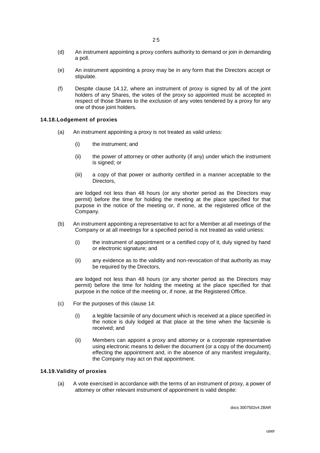- (d) An instrument appointing a proxy confers authority to demand or join in demanding a poll.
- (e) An instrument appointing a proxy may be in any form that the Directors accept or stipulate.
- (f) Despite clause 14.12, where an instrument of proxy is signed by all of the joint holders of any Shares, the votes of the proxy so appointed must be accepted in respect of those Shares to the exclusion of any votes tendered by a proxy for any one of those joint holders.

#### **14.18.Lodgement of proxies**

- (a) An instrument appointing a proxy is not treated as valid unless:
	- (i) the instrument; and
	- (ii) the power of attorney or other authority (if any) under which the instrument is signed; or
	- (iii) a copy of that power or authority certified in a manner acceptable to the Directors,

are lodged not less than 48 hours (or any shorter period as the Directors may permit) before the time for holding the meeting at the place specified for that purpose in the notice of the meeting or, if none, at the registered office of the Company.

- (b) An instrument appointing a representative to act for a Member at all meetings of the Company or at all meetings for a specified period is not treated as valid unless:
	- (i) the instrument of appointment or a certified copy of it, duly signed by hand or electronic signature; and
	- (ii) any evidence as to the validity and non-revocation of that authority as may be required by the Directors,

are lodged not less than 48 hours (or any shorter period as the Directors may permit) before the time for holding the meeting at the place specified for that purpose in the notice of the meeting or, if none, at the Registered Office.

- (c) For the purposes of this clause 14:
	- (i) a legible facsimile of any document which is received at a place specified in the notice is duly lodged at that place at the time when the facsimile is received; and
	- (ii) Members can appoint a proxy and attorney or a corporate representative using electronic means to deliver the document (or a copy of the document) effecting the appointment and, in the absence of any manifest irregularity, the Company may act on that appointment.

#### **14.19.Validity of proxies**

(a) A vote exercised in accordance with the terms of an instrument of proxy, a power of attorney or other relevant instrument of appointment is valid despite: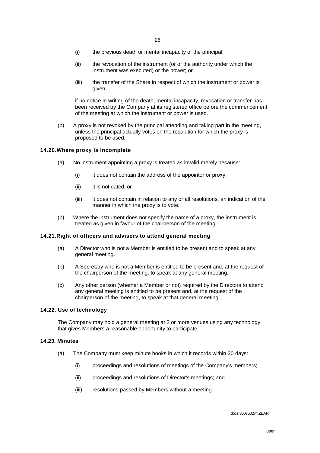- (i) the previous death or mental incapacity of the principal;
- (ii) the revocation of the instrument (or of the authority under which the instrument was executed) or the power; or
- (iii) the transfer of the Share in respect of which the instrument or power is given,

if no notice in writing of the death, mental incapacity, revocation or transfer has been received by the Company at its registered office before the commencement of the meeting at which the instrument or power is used.

(b) A proxy is not revoked by the principal attending and taking part in the meeting, unless the principal actually votes on the resolution for which the proxy is proposed to be used.

# **14.20.Where proxy is incomplete**

- (a) No instrument appointing a proxy is treated as invalid merely because:
	- (i) it does not contain the address of the appointor or proxy;
	- (ii) it is not dated; or
	- (iii) it does not contain in relation to any or all resolutions, an indication of the manner in which the proxy is to vote.
- (b) Where the instrument does not specify the name of a proxy, the instrument is treated as given in favour of the chairperson of the meeting.

#### **14.21.Right of officers and advisers to attend general meeting**

- (a) A Director who is not a Member is entitled to be present and to speak at any general meeting.
- (b) A Secretary who is not a Member is entitled to be present and, at the request of the chairperson of the meeting, to speak at any general meeting.
- (c) Any other person (whether a Member or not) required by the Directors to attend any general meeting is entitled to be present and, at the request of the chairperson of the meeting, to speak at that general meeting.

#### **14.22. Use of technology**

The Company may hold a general meeting at 2 or more venues using any technology that gives Members a reasonable opportunity to participate.

#### **14.23. Minutes**

- (a) The Company must keep minute books in which it records within 30 days:
	- (i) proceedings and resolutions of meetings of the Company's members;
	- (ii) proceedings and resolutions of Director's meetings; and
	- (iii) resolutions passed by Members without a meeting.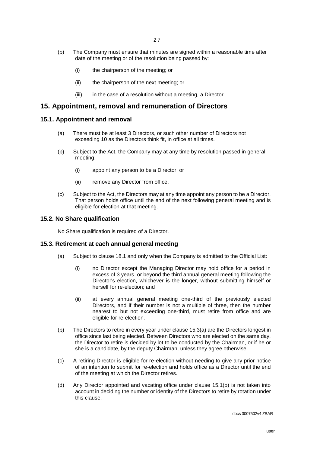- (b) The Company must ensure that minutes are signed within a reasonable time after date of the meeting or of the resolution being passed by:
	- (i) the chairperson of the meeting; or
	- (ii) the chairperson of the next meeting; or
	- (iii) in the case of a resolution without a meeting, a Director.

# **15. Appointment, removal and remuneration of Directors**

#### **15.1. Appointment and removal**

- (a) There must be at least 3 Directors, or such other number of Directors not exceeding 10 as the Directors think fit, in office at all times.
- (b) Subject to the Act, the Company may at any time by resolution passed in general meeting:
	- (i) appoint any person to be a Director; or
	- (ii) remove any Director from office.
- (c) Subject to the Act, the Directors may at any time appoint any person to be a Director. That person holds office until the end of the next following general meeting and is eligible for election at that meeting.

#### **15.2. No Share qualification**

No Share qualification is required of a Director.

#### **15.3. Retirement at each annual general meeting**

- (a) Subject to clause 18.1 and only when the Company is admitted to the Official List:
	- (i) no Director except the Managing Director may hold office for a period in excess of 3 years, or beyond the third annual general meeting following the Director's election, whichever is the longer, without submitting himself or herself for re-election; and
	- (ii) at every annual general meeting one-third of the previously elected Directors, and if their number is not a multiple of three, then the number nearest to but not exceeding one-third, must retire from office and are eligible for re-election.
- (b) The Directors to retire in every year under clause 15.3(a) are the Directors longest in office since last being elected. Between Directors who are elected on the same day, the Director to retire is decided by lot to be conducted by the Chairman, or if he or she is a candidate, by the deputy Chairman, unless they agree otherwise.
- (c) A retiring Director is eligible for re-election without needing to give any prior notice of an intention to submit for re-election and holds office as a Director until the end of the meeting at which the Director retires.
- (d) Any Director appointed and vacating office under clause 15.1(b) is not taken into account in deciding the number or identity of the Directors to retire by rotation under this clause.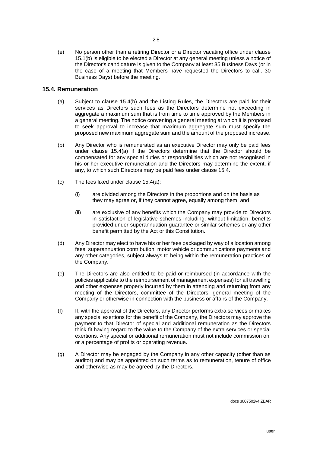(e) No person other than a retiring Director or a Director vacating office under clause 15.1(b) is eligible to be elected a Director at any general meeting unless a notice of the Director's candidature is given to the Company at least 35 Business Days (or in the case of a meeting that Members have requested the Directors to call, 30 Business Days) before the meeting.

# **15.4. Remuneration**

- (a) Subject to clause 15.4(b) and the Listing Rules, the Directors are paid for their services as Directors such fees as the Directors determine not exceeding in aggregate a maximum sum that is from time to time approved by the Members in a general meeting. The notice convening a general meeting at which it is proposed to seek approval to increase that maximum aggregate sum must specify the proposed new maximum aggregate sum and the amount of the proposed increase.
- (b) Any Director who is remunerated as an executive Director may only be paid fees under clause 15.4(a) if the Directors determine that the Director should be compensated for any special duties or responsibilities which are not recognised in his or her executive remuneration and the Directors may determine the extent, if any, to which such Directors may be paid fees under clause 15.4.
- (c) The fees fixed under clause 15.4(a):
	- (i) are divided among the Directors in the proportions and on the basis as they may agree or, if they cannot agree, equally among them; and
	- (ii) are exclusive of any benefits which the Company may provide to Directors in satisfaction of legislative schemes including, without limitation, benefits provided under superannuation guarantee or similar schemes or any other benefit permitted by the Act or this Constitution.
- (d) Any Director may elect to have his or her fees packaged by way of allocation among fees, superannuation contribution, motor vehicle or communications payments and any other categories, subject always to being within the remuneration practices of the Company.
- (e) The Directors are also entitled to be paid or reimbursed (in accordance with the policies applicable to the reimbursement of management expenses) for all travelling and other expenses properly incurred by them in attending and returning from any meeting of the Directors, committee of the Directors, general meeting of the Company or otherwise in connection with the business or affairs of the Company.
- (f) If, with the approval of the Directors, any Director performs extra services or makes any special exertions for the benefit of the Company, the Directors may approve the payment to that Director of special and additional remuneration as the Directors think fit having regard to the value to the Company of the extra services or special exertions. Any special or additional remuneration must not include commission on, or a percentage of profits or operating revenue.
- (g) A Director may be engaged by the Company in any other capacity (other than as auditor) and may be appointed on such terms as to remuneration, tenure of office and otherwise as may be agreed by the Directors.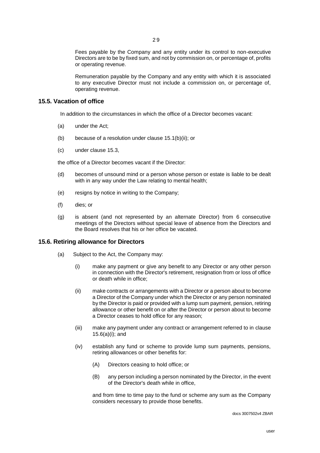Fees payable by the Company and any entity under its control to non-executive Directors are to be by fixed sum, and not by commission on, or percentage of, profits or operating revenue.

Remuneration payable by the Company and any entity with which it is associated to any executive Director must not include a commission on, or percentage of, operating revenue.

#### **15.5. Vacation of office**

In addition to the circumstances in which the office of a Director becomes vacant:

- (a) under the Act;
- (b) because of a resolution under clause 15.1(b)(ii); or
- (c) under clause 15.3,

the office of a Director becomes vacant if the Director:

- (d) becomes of unsound mind or a person whose person or estate is liable to be dealt with in any way under the Law relating to mental health;
- (e) resigns by notice in writing to the Company;
- (f) dies; or
- (g) is absent (and not represented by an alternate Director) from 6 consecutive meetings of the Directors without special leave of absence from the Directors and the Board resolves that his or her office be vacated.

#### **15.6. Retiring allowance for Directors**

- (a) Subject to the Act, the Company may:
	- (i) make any payment or give any benefit to any Director or any other person in connection with the Director's retirement, resignation from or loss of office or death while in office;
	- (ii) make contracts or arrangements with a Director or a person about to become a Director of the Company under which the Director or any person nominated by the Director is paid or provided with a lump sum payment, pension, retiring allowance or other benefit on or after the Director or person about to become a Director ceases to hold office for any reason;
	- (iii) make any payment under any contract or arrangement referred to in clause 15.6(a)(i); and
	- (iv) establish any fund or scheme to provide lump sum payments, pensions, retiring allowances or other benefits for:
		- (A) Directors ceasing to hold office; or
		- (B) any person including a person nominated by the Director, in the event of the Director's death while in office,

and from time to time pay to the fund or scheme any sum as the Company considers necessary to provide those benefits.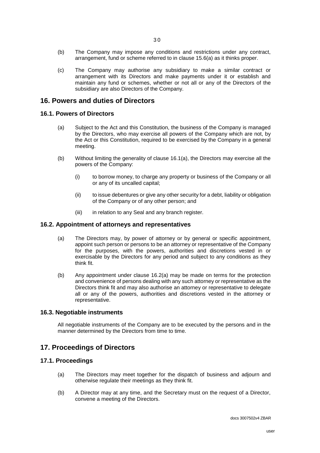- (b) The Company may impose any conditions and restrictions under any contract, arrangement, fund or scheme referred to in clause 15.6(a) as it thinks proper.
- (c) The Company may authorise any subsidiary to make a similar contract or arrangement with its Directors and make payments under it or establish and maintain any fund or schemes, whether or not all or any of the Directors of the subsidiary are also Directors of the Company.

# **16. Powers and duties of Directors**

#### **16.1. Powers of Directors**

- (a) Subject to the Act and this Constitution, the business of the Company is managed by the Directors, who may exercise all powers of the Company which are not, by the Act or this Constitution, required to be exercised by the Company in a general meeting.
- (b) Without limiting the generality of clause 16.1(a), the Directors may exercise all the powers of the Company:
	- (i) to borrow money, to charge any property or business of the Company or all or any of its uncalled capital;
	- (ii) to issue debentures or give any other security for a debt, liability or obligation of the Company or of any other person; and
	- (iii) in relation to any Seal and any branch register.

#### **16.2. Appointment of attorneys and representatives**

- (a) The Directors may, by power of attorney or by general or specific appointment, appoint such person or persons to be an attorney or representative of the Company for the purposes, with the powers, authorities and discretions vested in or exercisable by the Directors for any period and subject to any conditions as they think fit.
- (b) Any appointment under clause 16.2(a) may be made on terms for the protection and convenience of persons dealing with any such attorney or representative as the Directors think fit and may also authorise an attorney or representative to delegate all or any of the powers, authorities and discretions vested in the attorney or representative.

#### **16.3. Negotiable instruments**

All negotiable instruments of the Company are to be executed by the persons and in the manner determined by the Directors from time to time.

# **17. Proceedings of Directors**

# **17.1. Proceedings**

- (a) The Directors may meet together for the dispatch of business and adjourn and otherwise regulate their meetings as they think fit.
- (b) A Director may at any time, and the Secretary must on the request of a Director, convene a meeting of the Directors.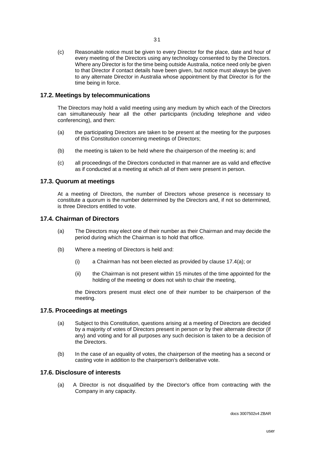(c) Reasonable notice must be given to every Director for the place, date and hour of every meeting of the Directors using any technology consented to by the Directors. Where any Director is for the time being outside Australia, notice need only be given to that Director if contact details have been given, but notice must always be given to any alternate Director in Australia whose appointment by that Director is for the time being in force.

# **17.2. Meetings by telecommunications**

The Directors may hold a valid meeting using any medium by which each of the Directors can simultaneously hear all the other participants (including telephone and video conferencing), and then:

- (a) the participating Directors are taken to be present at the meeting for the purposes of this Constitution concerning meetings of Directors;
- (b) the meeting is taken to be held where the chairperson of the meeting is; and
- (c) all proceedings of the Directors conducted in that manner are as valid and effective as if conducted at a meeting at which all of them were present in person.

# **17.3. Quorum at meetings**

At a meeting of Directors, the number of Directors whose presence is necessary to constitute a quorum is the number determined by the Directors and, if not so determined, is three Directors entitled to vote.

# **17.4. Chairman of Directors**

- (a) The Directors may elect one of their number as their Chairman and may decide the period during which the Chairman is to hold that office.
- (b) Where a meeting of Directors is held and:
	- (i) a Chairman has not been elected as provided by clause 17.4(a); or
	- (ii) the Chairman is not present within 15 minutes of the time appointed for the holding of the meeting or does not wish to chair the meeting,

the Directors present must elect one of their number to be chairperson of the meeting.

# **17.5. Proceedings at meetings**

- (a) Subject to this Constitution, questions arising at a meeting of Directors are decided by a majority of votes of Directors present in person or by their alternate director (if any) and voting and for all purposes any such decision is taken to be a decision of the Directors.
- (b) In the case of an equality of votes, the chairperson of the meeting has a second or casting vote in addition to the chairperson's deliberative vote.

# **17.6. Disclosure of interests**

(a) A Director is not disqualified by the Director's office from contracting with the Company in any capacity.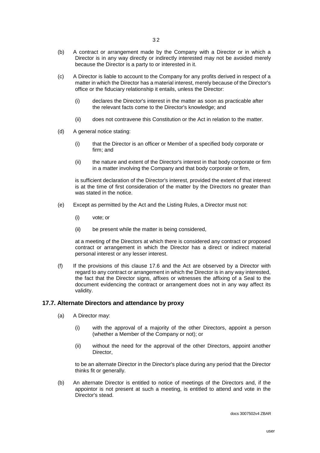- (b) A contract or arrangement made by the Company with a Director or in which a Director is in any way directly or indirectly interested may not be avoided merely because the Director is a party to or interested in it.
- (c) A Director is liable to account to the Company for any profits derived in respect of a matter in which the Director has a material interest, merely because of the Director's office or the fiduciary relationship it entails, unless the Director:
	- (i) declares the Director's interest in the matter as soon as practicable after the relevant facts come to the Director's knowledge; and
	- (ii) does not contravene this Constitution or the Act in relation to the matter.
- (d) A general notice stating:
	- (i) that the Director is an officer or Member of a specified body corporate or firm; and
	- (ii) the nature and extent of the Director's interest in that body corporate or firm in a matter involving the Company and that body corporate or firm,

is sufficient declaration of the Director's interest, provided the extent of that interest is at the time of first consideration of the matter by the Directors no greater than was stated in the notice.

- (e) Except as permitted by the Act and the Listing Rules, a Director must not:
	- (i) vote; or
	- (ii) be present while the matter is being considered,

at a meeting of the Directors at which there is considered any contract or proposed contract or arrangement in which the Director has a direct or indirect material personal interest or any lesser interest.

(f) If the provisions of this clause 17.6 and the Act are observed by a Director with regard to any contract or arrangement in which the Director is in any way interested, the fact that the Director signs, affixes or witnesses the affixing of a Seal to the document evidencing the contract or arrangement does not in any way affect its validity.

#### **17.7. Alternate Directors and attendance by proxy**

- (a) A Director may:
	- (i) with the approval of a majority of the other Directors, appoint a person (whether a Member of the Company or not); or
	- (ii) without the need for the approval of the other Directors, appoint another Director,

to be an alternate Director in the Director's place during any period that the Director thinks fit or generally.

(b) An alternate Director is entitled to notice of meetings of the Directors and, if the appointor is not present at such a meeting, is entitled to attend and vote in the Director's stead.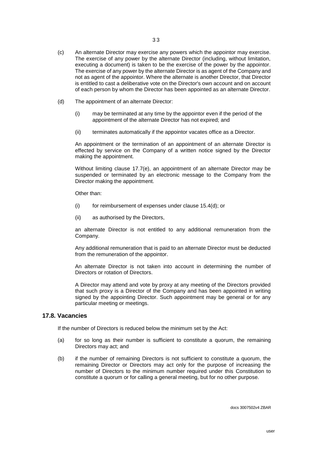- (c) An alternate Director may exercise any powers which the appointor may exercise. The exercise of any power by the alternate Director (including, without limitation, executing a document) is taken to be the exercise of the power by the appointor. The exercise of any power by the alternate Director is as agent of the Company and not as agent of the appointor. Where the alternate is another Director, that Director is entitled to cast a deliberative vote on the Director's own account and on account of each person by whom the Director has been appointed as an alternate Director.
- (d) The appointment of an alternate Director:
	- (i) may be terminated at any time by the appointor even if the period of the appointment of the alternate Director has not expired; and
	- (ii) terminates automatically if the appointor vacates office as a Director.

An appointment or the termination of an appointment of an alternate Director is effected by service on the Company of a written notice signed by the Director making the appointment.

Without limiting clause 17.7(e), an appointment of an alternate Director may be suspended or terminated by an electronic message to the Company from the Director making the appointment.

Other than:

- (i) for reimbursement of expenses under clause  $15.4(d)$ ; or
- (ii) as authorised by the Directors,

an alternate Director is not entitled to any additional remuneration from the Company.

Any additional remuneration that is paid to an alternate Director must be deducted from the remuneration of the appointor.

An alternate Director is not taken into account in determining the number of Directors or rotation of Directors.

A Director may attend and vote by proxy at any meeting of the Directors provided that such proxy is a Director of the Company and has been appointed in writing signed by the appointing Director. Such appointment may be general or for any particular meeting or meetings.

#### **17.8. Vacancies**

If the number of Directors is reduced below the minimum set by the Act:

- (a) for so long as their number is sufficient to constitute a quorum, the remaining Directors may act; and
- (b) if the number of remaining Directors is not sufficient to constitute a quorum, the remaining Director or Directors may act only for the purpose of increasing the number of Directors to the minimum number required under this Constitution to constitute a quorum or for calling a general meeting, but for no other purpose.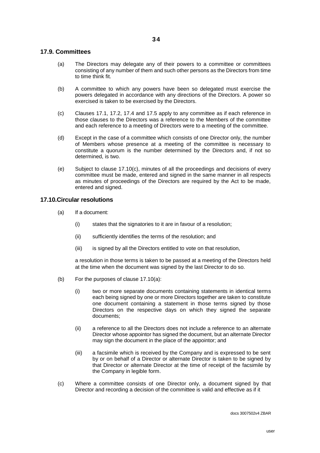# **17.9. Committees**

- (a) The Directors may delegate any of their powers to a committee or committees consisting of any number of them and such other persons as the Directors from time to time think fit.
- (b) A committee to which any powers have been so delegated must exercise the powers delegated in accordance with any directions of the Directors. A power so exercised is taken to be exercised by the Directors.
- (c) Clauses 17.1, 17.2, 17.4 and 17.5 apply to any committee as if each reference in those clauses to the Directors was a reference to the Members of the committee and each reference to a meeting of Directors were to a meeting of the committee.
- (d) Except in the case of a committee which consists of one Director only, the number of Members whose presence at a meeting of the committee is necessary to constitute a quorum is the number determined by the Directors and, if not so determined, is two.
- (e) Subject to clause 17.10(c), minutes of all the proceedings and decisions of every committee must be made, entered and signed in the same manner in all respects as minutes of proceedings of the Directors are required by the Act to be made, entered and signed.

# **17.10.Circular resolutions**

- (a) If a document:
	- (i) states that the signatories to it are in favour of a resolution;
	- (ii) sufficiently identifies the terms of the resolution; and
	- (iii) is signed by all the Directors entitled to vote on that resolution,

a resolution in those terms is taken to be passed at a meeting of the Directors held at the time when the document was signed by the last Director to do so.

- (b) For the purposes of clause 17.10(a):
	- (i) two or more separate documents containing statements in identical terms each being signed by one or more Directors together are taken to constitute one document containing a statement in those terms signed by those Directors on the respective days on which they signed the separate documents;
	- (ii) a reference to all the Directors does not include a reference to an alternate Director whose appointor has signed the document, but an alternate Director may sign the document in the place of the appointor; and
	- (iii) a facsimile which is received by the Company and is expressed to be sent by or on behalf of a Director or alternate Director is taken to be signed by that Director or alternate Director at the time of receipt of the facsimile by the Company in legible form.
- (c) Where a committee consists of one Director only, a document signed by that Director and recording a decision of the committee is valid and effective as if it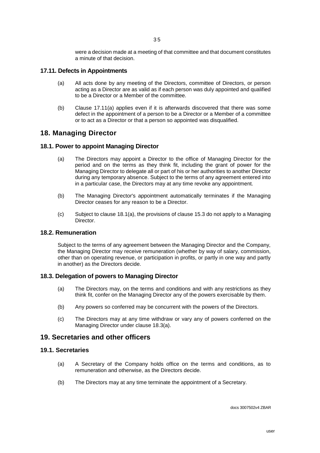were a decision made at a meeting of that committee and that document constitutes a minute of that decision.

# **17.11. Defects in Appointments**

- (a) All acts done by any meeting of the Directors, committee of Directors, or person acting as a Director are as valid as if each person was duly appointed and qualified to be a Director or a Member of the committee.
- (b) Clause 17.11(a) applies even if it is afterwards discovered that there was some defect in the appointment of a person to be a Director or a Member of a committee or to act as a Director or that a person so appointed was disqualified.

# **18. Managing Director**

#### **18.1. Power to appoint Managing Director**

- (a) The Directors may appoint a Director to the office of Managing Director for the period and on the terms as they think fit, including the grant of power for the Managing Director to delegate all or part of his or her authorities to another Director during any temporary absence. Subject to the terms of any agreement entered into in a particular case, the Directors may at any time revoke any appointment.
- (b) The Managing Director's appointment automatically terminates if the Managing Director ceases for any reason to be a Director.
- (c) Subject to clause 18.1(a), the provisions of clause 15.3 do not apply to a Managing Director.

# **18.2. Remuneration**

Subject to the terms of any agreement between the Managing Director and the Company, the Managing Director may receive remuneration (whether by way of salary, commission, other than on operating revenue, or participation in profits, or partly in one way and partly in another) as the Directors decide.

#### **18.3. Delegation of powers to Managing Director**

- (a) The Directors may, on the terms and conditions and with any restrictions as they think fit, confer on the Managing Director any of the powers exercisable by them.
- (b) Any powers so conferred may be concurrent with the powers of the Directors.
- (c) The Directors may at any time withdraw or vary any of powers conferred on the Managing Director under clause 18.3(a).

# **19. Secretaries and other officers**

# **19.1. Secretaries**

- (a) A Secretary of the Company holds office on the terms and conditions, as to remuneration and otherwise, as the Directors decide.
- (b) The Directors may at any time terminate the appointment of a Secretary.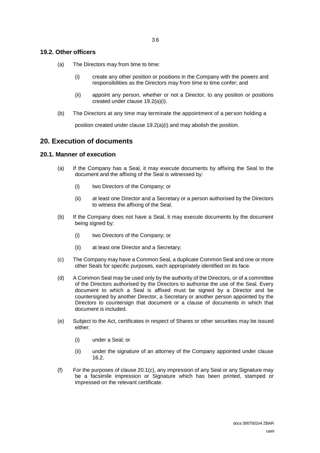# **19.2. Other officers**

- (a) The Directors may from time to time:
	- (i) create any other position or positions in the Company with the powers and responsibilities as the Directors may from time to time confer; and
	- (ii) appoint any person, whether or not a Director, to any position or positions created under clause 19.2(a)(i).
- (b) The Directors at any time may terminate the appointment of a person holding a

position created under clause 19.2(a)(i) and may abolish the position.

# **20. Execution of documents**

### **20.1. Manner of execution**

- (a) If the Company has a Seal, it may execute documents by affixing the Seal to the document and the affixing of the Seal is witnessed by:
	- (i) two Directors of the Company; or
	- (ii) at least one Director and a Secretary or a person authorised by the Directors to witness the affixing of the Seal.
- (b) If the Company does not have a Seal, it may execute documents by the document being signed by:
	- (i) two Directors of the Company; or
	- (ii) at least one Director and a Secretary;
- (c) The Company may have a Common Seal, a duplicate Common Seal and one or more other Seals for specific purposes, each appropriately identified on its face.
- (d) A Common Seal may be used only by the authority of the Directors, or of a committee of the Directors authorised by the Directors to authorise the use of the Seal. Every document to which a Seal is affixed must be signed by a Director and be countersigned by another Director, a Secretary or another person appointed by the Directors to countersign that document or a clause of documents in which that document is included.
- (e) Subject to the Act, certificates in respect of Shares or other securities may be issued either:
	- (i) under a Seal; or
	- (ii) under the signature of an attorney of the Company appointed under clause 16.2.
- (f) For the purposes of clause 20.1(c), any impression of any Seal or any Signature may be a facsimile impression or Signature which has been printed, stamped or impressed on the relevant certificate.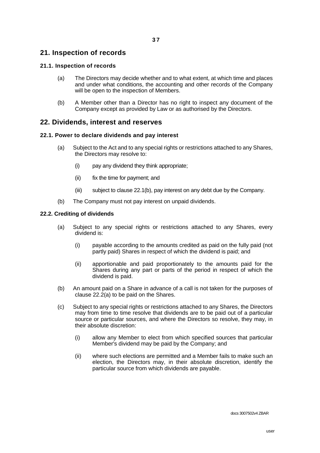# **21. Inspection of records**

# **21.1. Inspection of records**

- (a) The Directors may decide whether and to what extent, at which time and places and under what conditions, the accounting and other records of the Company will be open to the inspection of Members.
- (b) A Member other than a Director has no right to inspect any document of the Company except as provided by Law or as authorised by the Directors.

# **22. Dividends, interest and reserves**

# **22.1. Power to declare dividends and pay interest**

- (a) Subject to the Act and to any special rights or restrictions attached to any Shares, the Directors may resolve to:
	- (i) pay any dividend they think appropriate;
	- (ii) fix the time for payment; and
	- (iii) subject to clause 22.1(b), pay interest on any debt due by the Company.
- (b) The Company must not pay interest on unpaid dividends.

#### **22.2. Crediting of dividends**

- (a) Subject to any special rights or restrictions attached to any Shares, every dividend is:
	- (i) payable according to the amounts credited as paid on the fully paid (not partly paid) Shares in respect of which the dividend is paid; and
	- (ii) apportionable and paid proportionately to the amounts paid for the Shares during any part or parts of the period in respect of which the dividend is paid.
- (b) An amount paid on a Share in advance of a call is not taken for the purposes of clause 22.2(a) to be paid on the Shares.
- (c) Subject to any special rights or restrictions attached to any Shares, the Directors may from time to time resolve that dividends are to be paid out of a particular source or particular sources, and where the Directors so resolve, they may, in their absolute discretion:
	- (i) allow any Member to elect from which specified sources that particular Member's dividend may be paid by the Company; and
	- (ii) where such elections are permitted and a Member fails to make such an election, the Directors may, in their absolute discretion, identify the particular source from which dividends are payable.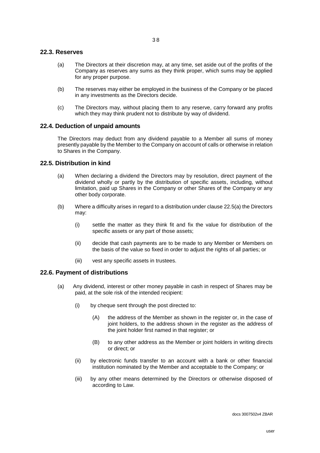# **22.3. Reserves**

- (a) The Directors at their discretion may, at any time, set aside out of the profits of the Company as reserves any sums as they think proper, which sums may be applied for any proper purpose.
- (b) The reserves may either be employed in the business of the Company or be placed in any investments as the Directors decide.
- (c) The Directors may, without placing them to any reserve, carry forward any profits which they may think prudent not to distribute by way of dividend.

# **22.4. Deduction of unpaid amounts**

The Directors may deduct from any dividend payable to a Member all sums of money presently payable by the Member to the Company on account of calls or otherwise in relation to Shares in the Company.

# **22.5. Distribution in kind**

- (a) When declaring a dividend the Directors may by resolution, direct payment of the dividend wholly or partly by the distribution of specific assets, including, without limitation, paid up Shares in the Company or other Shares of the Company or any other body corporate.
- (b) Where a difficulty arises in regard to a distribution under clause 22.5(a) the Directors may:
	- (i) settle the matter as they think fit and fix the value for distribution of the specific assets or any part of those assets;
	- (ii) decide that cash payments are to be made to any Member or Members on the basis of the value so fixed in order to adjust the rights of all parties; or
	- (iii) vest any specific assets in trustees.

# **22.6. Payment of distributions**

- (a) Any dividend, interest or other money payable in cash in respect of Shares may be paid, at the sole risk of the intended recipient:
	- (i) by cheque sent through the post directed to:
		- (A) the address of the Member as shown in the register or, in the case of joint holders, to the address shown in the register as the address of the joint holder first named in that register; or
		- (B) to any other address as the Member or joint holders in writing directs or direct; or
	- (ii) by electronic funds transfer to an account with a bank or other financial institution nominated by the Member and acceptable to the Company; or
	- (iii) by any other means determined by the Directors or otherwise disposed of according to Law.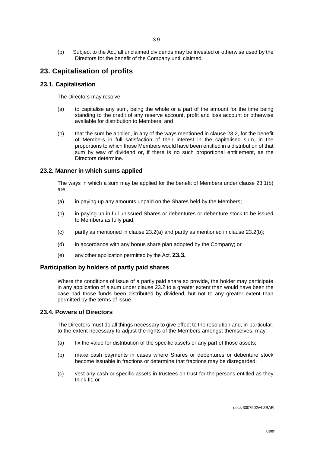(b) Subject to the Act, all unclaimed dividends may be invested or otherwise used by the Directors for the benefit of the Company until claimed.

# **23. Capitalisation of profits**

#### **23.1. Capitalisation**

The Directors may resolve:

- (a) to capitalise any sum, being the whole or a part of the amount for the time being standing to the credit of any reserve account, profit and loss account or otherwise available for distribution to Members; and
- (b) that the sum be applied, in any of the ways mentioned in clause 23.2, for the benefit of Members in full satisfaction of their interest in the capitalised sum, in the proportions to which those Members would have been entitled in a distribution of that sum by way of dividend or, if there is no such proportional entitlement, as the Directors determine.

#### **23.2. Manner in which sums applied**

The ways in which a sum may be applied for the benefit of Members under clause 23.1(b) are:

- (a) in paying up any amounts unpaid on the Shares held by the Members;
- (b) in paying up in full unissued Shares or debentures or debenture stock to be issued to Members as fully paid;
- (c) partly as mentioned in clause  $23.2(a)$  and partly as mentioned in clause  $23.2(b)$ ;
- (d) in accordance with any bonus share plan adopted by the Company; or
- (e) any other application permitted by the Act. **23.3.**

#### **Participation by holders of partly paid shares**

Where the conditions of issue of a partly paid share so provide, the holder may participate in any application of a sum under clause 23.2 to a greater extent than would have been the case had those funds been distributed by dividend, but not to any greater extent than permitted by the terms of issue.

#### **23.4. Powers of Directors**

The Directors must do all things necessary to give effect to the resolution and, in particular, to the extent necessary to adjust the rights of the Members amongst themselves, may:

- (a) fix the value for distribution of the specific assets or any part of those assets;
- (b) make cash payments in cases where Shares or debentures or debenture stock become issuable in fractions or determine that fractions may be disregarded;
- (c) vest any cash or specific assets in trustees on trust for the persons entitled as they think fit; or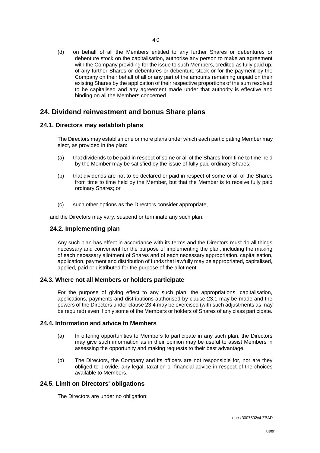(d) on behalf of all the Members entitled to any further Shares or debentures or debenture stock on the capitalisation, authorise any person to make an agreement with the Company providing for the issue to such Members, credited as fully paid up, of any further Shares or debentures or debenture stock or for the payment by the Company on their behalf of all or any part of the amounts remaining unpaid on their existing Shares by the application of their respective proportions of the sum resolved to be capitalised and any agreement made under that authority is effective and binding on all the Members concerned.

# **24. Dividend reinvestment and bonus Share plans**

# **24.1. Directors may establish plans**

The Directors may establish one or more plans under which each participating Member may elect, as provided in the plan:

- (a) that dividends to be paid in respect of some or all of the Shares from time to time held by the Member may be satisfied by the issue of fully paid ordinary Shares;
- (b) that dividends are not to be declared or paid in respect of some or all of the Shares from time to time held by the Member, but that the Member is to receive fully paid ordinary Shares; or
- (c) such other options as the Directors consider appropriate,

and the Directors may vary, suspend or terminate any such plan.

# **24.2. Implementing plan**

Any such plan has effect in accordance with its terms and the Directors must do all things necessary and convenient for the purpose of implementing the plan, including the making of each necessary allotment of Shares and of each necessary appropriation, capitalisation, application, payment and distribution of funds that lawfully may be appropriated, capitalised, applied, paid or distributed for the purpose of the allotment.

# **24.3. Where not all Members or holders participate**

For the purpose of giving effect to any such plan, the appropriations, capitalisation, applications, payments and distributions authorised by clause 23.1 may be made and the powers of the Directors under clause 23.4 may be exercised (with such adjustments as may be required) even if only some of the Members or holders of Shares of any class participate.

# **24.4. Information and advice to Members**

- (a) In offering opportunities to Members to participate in any such plan, the Directors may give such information as in their opinion may be useful to assist Members in assessing the opportunity and making requests to their best advantage.
- (b) The Directors, the Company and its officers are not responsible for, nor are they obliged to provide, any legal, taxation or financial advice in respect of the choices available to Members.

# **24.5. Limit on Directors' obligations**

The Directors are under no obligation: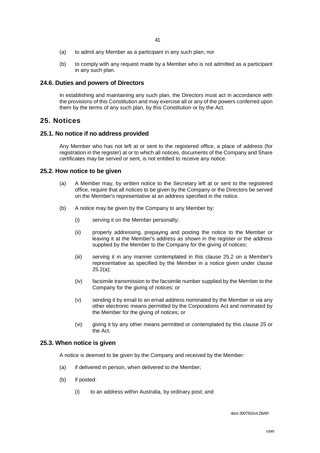- (a) to admit any Member as a participant in any such plan; nor
- (b) to comply with any request made by a Member who is not admitted as a participant in any such plan.

#### **24.6. Duties and powers of Directors**

In establishing and maintaining any such plan, the Directors must act in accordance with the provisions of this Constitution and may exercise all or any of the powers conferred upon them by the terms of any such plan, by this Constitution or by the Act.

# **25. Notices**

#### **25.1. No notice if no address provided**

Any Member who has not left at or sent to the registered office, a place of address (for registration in the register) at or to which all notices, documents of the Company and Share certificates may be served or sent, is not entitled to receive any notice.

#### **25.2. How notice to be given**

- (a) A Member may, by written notice to the Secretary left at or sent to the registered office, require that all notices to be given by the Company or the Directors be served on the Member's representative at an address specified in the notice.
- (b) A notice may be given by the Company to any Member by:
	- (i) serving it on the Member personally;
	- (ii) properly addressing, prepaying and posting the notice to the Member or leaving it at the Member's address as shown in the register or the address supplied by the Member to the Company for the giving of notices;
	- (iii) serving it in any manner contemplated in this clause 25.2 on a Member's representative as specified by the Member in a notice given under clause 25.2(a);
	- (iv) facsimile transmission to the facsimile number supplied by the Member to the Company for the giving of notices; or
	- (v) sending it by email to an email address nominated by the Member or via any other electronic means permitted by the Corporations Act and nominated by the Member for the giving of notices; or
	- (vi) giving it by any other means permitted or contemplated by this clause 25 or the Act.

#### **25.3. When notice is given**

A notice is deemed to be given by the Company and received by the Member:

- (a) if delivered in person, when delivered to the Member;
- (b) if posted:
	- (i) to an address within Australia, by ordinary post; and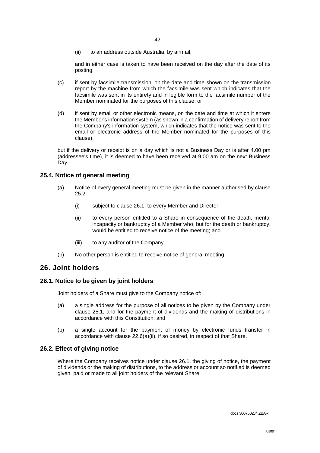(ii) to an address outside Australia, by airmail,

and in either case is taken to have been received on the day after the date of its posting;

- (c) if sent by facsimile transmission, on the date and time shown on the transmission report by the machine from which the facsimile was sent which indicates that the facsimile was sent in its entirety and in legible form to the facsimile number of the Member nominated for the purposes of this clause; or
- (d) if sent by email or other electronic means, on the date and time at which it enters the Member's information system (as shown in a confirmation of delivery report from the Company's information system, which indicates that the notice was sent to the email or electronic address of the Member nominated for the purposes of this clause),

but if the delivery or receipt is on a day which is not a Business Day or is after 4.00 pm (addressee's time), it is deemed to have been received at 9.00 am on the next Business Day.

### **25.4. Notice of general meeting**

- (a) Notice of every general meeting must be given in the manner authorised by clause 25.2:
	- (i) subject to clause 26.1, to every Member and Director;
	- (ii) to every person entitled to a Share in consequence of the death, mental incapacity or bankruptcy of a Member who, but for the death or bankruptcy, would be entitled to receive notice of the meeting; and
	- (iii) to any auditor of the Company.
- (b) No other person is entitled to receive notice of general meeting.

# **26. Joint holders**

#### **26.1. Notice to be given by joint holders**

Joint holders of a Share must give to the Company notice of:

- (a) a single address for the purpose of all notices to be given by the Company under clause 25.1, and for the payment of dividends and the making of distributions in accordance with this Constitution; and
- (b) a single account for the payment of money by electronic funds transfer in accordance with clause 22.6(a)(ii), if so desired, in respect of that Share.

#### **26.2. Effect of giving notice**

Where the Company receives notice under clause 26.1, the giving of notice, the payment of dividends or the making of distributions, to the address or account so notified is deemed given, paid or made to all joint holders of the relevant Share.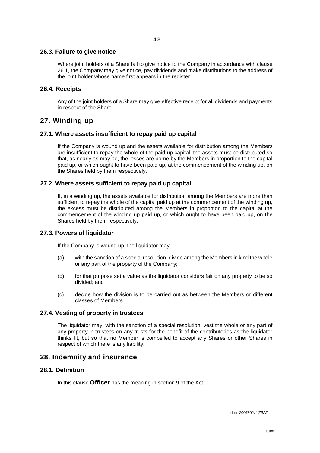# **26.3. Failure to give notice**

Where joint holders of a Share fail to give notice to the Company in accordance with clause 26.1, the Company may give notice, pay dividends and make distributions to the address of the joint holder whose name first appears in the register.

# **26.4. Receipts**

Any of the joint holders of a Share may give effective receipt for all dividends and payments in respect of the Share.

# **27. Winding up**

# **27.1. Where assets insufficient to repay paid up capital**

If the Company is wound up and the assets available for distribution among the Members are insufficient to repay the whole of the paid up capital, the assets must be distributed so that, as nearly as may be, the losses are borne by the Members in proportion to the capital paid up, or which ought to have been paid up, at the commencement of the winding up, on the Shares held by them respectively.

# **27.2. Where assets sufficient to repay paid up capital**

If, in a winding up, the assets available for distribution among the Members are more than sufficient to repay the whole of the capital paid up at the commencement of the winding up, the excess must be distributed among the Members in proportion to the capital at the commencement of the winding up paid up, or which ought to have been paid up, on the Shares held by them respectively.

#### **27.3. Powers of liquidator**

If the Company is wound up, the liquidator may:

- (a) with the sanction of a special resolution, divide among the Members in kind the whole or any part of the property of the Company;
- (b) for that purpose set a value as the liquidator considers fair on any property to be so divided; and
- (c) decide how the division is to be carried out as between the Members or different classes of Members.

#### **27.4. Vesting of property in trustees**

The liquidator may, with the sanction of a special resolution, vest the whole or any part of any property in trustees on any trusts for the benefit of the contributories as the liquidator thinks fit, but so that no Member is compelled to accept any Shares or other Shares in respect of which there is any liability.

# **28. Indemnity and insurance**

### **28.1. Definition**

In this clause **Officer** has the meaning in section 9 of the Act.